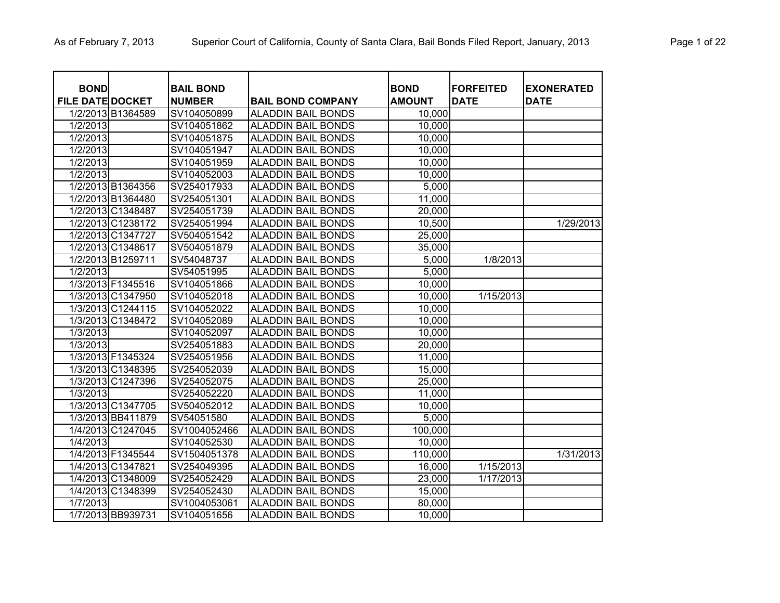| <b>BOND</b>             |                   | <b>BAIL BOND</b> |                           | <b>BOND</b>   | <b>FORFEITED</b> | <b>EXONERATED</b> |
|-------------------------|-------------------|------------------|---------------------------|---------------|------------------|-------------------|
| <b>FILE DATE DOCKET</b> |                   | <b>NUMBER</b>    | <b>BAIL BOND COMPANY</b>  | <b>AMOUNT</b> | <b>DATE</b>      | <b>DATE</b>       |
|                         | 1/2/2013 B1364589 | SV104050899      | <b>ALADDIN BAIL BONDS</b> | 10,000        |                  |                   |
| $1/2/20\overline{13}$   |                   | SV104051862      | <b>ALADDIN BAIL BONDS</b> | 10,000        |                  |                   |
| 1/2/2013                |                   | SV104051875      | <b>ALADDIN BAIL BONDS</b> | 10,000        |                  |                   |
| 1/2/2013                |                   | SV104051947      | <b>ALADDIN BAIL BONDS</b> | 10,000        |                  |                   |
| 1/2/2013                |                   | SV104051959      | <b>ALADDIN BAIL BONDS</b> | 10,000        |                  |                   |
| 1/2/2013                |                   | SV104052003      | <b>ALADDIN BAIL BONDS</b> | 10,000        |                  |                   |
|                         | 1/2/2013 B1364356 | SV254017933      | <b>ALADDIN BAIL BONDS</b> | 5,000         |                  |                   |
|                         | 1/2/2013 B1364480 | SV254051301      | <b>ALADDIN BAIL BONDS</b> | 11,000        |                  |                   |
|                         | 1/2/2013 C1348487 | SV254051739      | <b>ALADDIN BAIL BONDS</b> | 20,000        |                  |                   |
|                         | 1/2/2013 C1238172 | SV254051994      | <b>ALADDIN BAIL BONDS</b> | 10,500        |                  | 1/29/2013         |
|                         | 1/2/2013 C1347727 | SV504051542      | <b>ALADDIN BAIL BONDS</b> | 25,000        |                  |                   |
|                         | 1/2/2013 C1348617 | SV504051879      | <b>ALADDIN BAIL BONDS</b> | 35,000        |                  |                   |
|                         | 1/2/2013 B1259711 | SV54048737       | <b>ALADDIN BAIL BONDS</b> | 5,000         | 1/8/2013         |                   |
| 1/2/2013                |                   | SV54051995       | <b>ALADDIN BAIL BONDS</b> | 5,000         |                  |                   |
|                         | 1/3/2013 F1345516 | SV104051866      | <b>ALADDIN BAIL BONDS</b> | 10,000        |                  |                   |
|                         | 1/3/2013 C1347950 | SV104052018      | <b>ALADDIN BAIL BONDS</b> | 10,000        | 1/15/2013        |                   |
|                         | 1/3/2013 C1244115 | SV104052022      | <b>ALADDIN BAIL BONDS</b> | 10,000        |                  |                   |
|                         | 1/3/2013 C1348472 | SV104052089      | <b>ALADDIN BAIL BONDS</b> | 10,000        |                  |                   |
| 1/3/2013                |                   | SV104052097      | <b>ALADDIN BAIL BONDS</b> | 10,000        |                  |                   |
| 1/3/2013                |                   | SV254051883      | <b>ALADDIN BAIL BONDS</b> | 20,000        |                  |                   |
|                         | 1/3/2013 F1345324 | SV254051956      | <b>ALADDIN BAIL BONDS</b> | 11,000        |                  |                   |
|                         | 1/3/2013 C1348395 | SV254052039      | <b>ALADDIN BAIL BONDS</b> | 15,000        |                  |                   |
|                         | 1/3/2013 C1247396 | SV254052075      | <b>ALADDIN BAIL BONDS</b> | 25,000        |                  |                   |
| 1/3/2013                |                   | SV254052220      | <b>ALADDIN BAIL BONDS</b> | 11,000        |                  |                   |
|                         | 1/3/2013 C1347705 | SV504052012      | <b>ALADDIN BAIL BONDS</b> | 10,000        |                  |                   |
|                         | 1/3/2013 BB411879 | SV54051580       | <b>ALADDIN BAIL BONDS</b> | 5,000         |                  |                   |
|                         | 1/4/2013 C1247045 | SV1004052466     | <b>ALADDIN BAIL BONDS</b> | 100,000       |                  |                   |
| 1/4/2013                |                   | SV104052530      | <b>ALADDIN BAIL BONDS</b> | 10,000        |                  |                   |
|                         | 1/4/2013 F1345544 | SV1504051378     | <b>ALADDIN BAIL BONDS</b> | 110,000       |                  | 1/31/2013         |
|                         | 1/4/2013 C1347821 | SV254049395      | <b>ALADDIN BAIL BONDS</b> | 16,000        | 1/15/2013        |                   |
|                         | 1/4/2013 C1348009 | SV254052429      | <b>ALADDIN BAIL BONDS</b> | 23,000        | 1/17/2013        |                   |
|                         | 1/4/2013 C1348399 | SV254052430      | <b>ALADDIN BAIL BONDS</b> | 15,000        |                  |                   |
| 1/7/2013                |                   | SV1004053061     | <b>ALADDIN BAIL BONDS</b> | 80,000        |                  |                   |
|                         | 1/7/2013 BB939731 | SV104051656      | <b>ALADDIN BAIL BONDS</b> | 10,000        |                  |                   |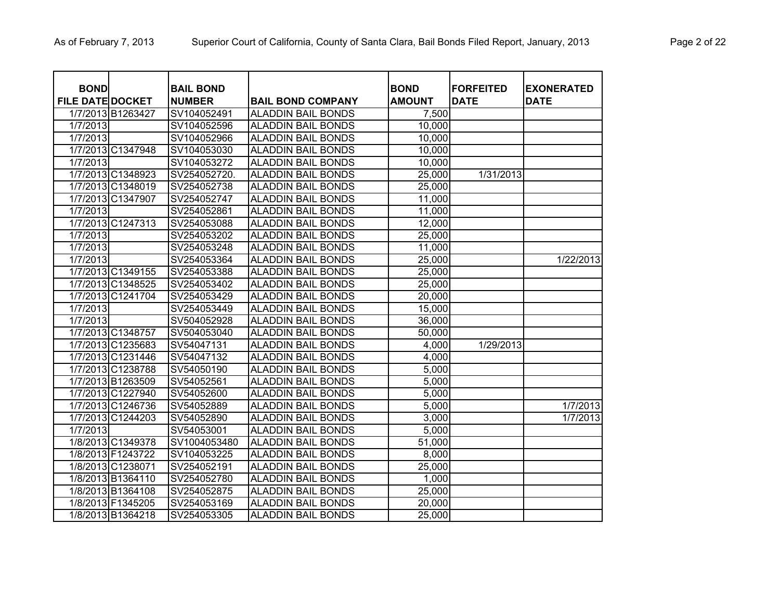| <b>BOND</b>             |                   | <b>BAIL BOND</b> |                           | <b>BOND</b>   | <b>FORFEITED</b> | <b>EXONERATED</b> |
|-------------------------|-------------------|------------------|---------------------------|---------------|------------------|-------------------|
| <b>FILE DATE DOCKET</b> |                   | <b>NUMBER</b>    | <b>BAIL BOND COMPANY</b>  | <b>AMOUNT</b> | <b>DATE</b>      | <b>DATE</b>       |
|                         | 1/7/2013 B1263427 | SV104052491      | <b>ALADDIN BAIL BONDS</b> | 7,500         |                  |                   |
| 1/7/2013                |                   | SV104052596      | <b>ALADDIN BAIL BONDS</b> | 10,000        |                  |                   |
| 1/7/2013                |                   | SV104052966      | <b>ALADDIN BAIL BONDS</b> | 10,000        |                  |                   |
|                         | 1/7/2013 C1347948 | SV104053030      | <b>ALADDIN BAIL BONDS</b> | 10,000        |                  |                   |
| 1/7/2013                |                   | SV104053272      | <b>ALADDIN BAIL BONDS</b> | 10,000        |                  |                   |
|                         | 1/7/2013 C1348923 | SV254052720.     | <b>ALADDIN BAIL BONDS</b> | 25,000        | 1/31/2013        |                   |
|                         | 1/7/2013 C1348019 | SV254052738      | <b>ALADDIN BAIL BONDS</b> | 25,000        |                  |                   |
|                         | 1/7/2013 C1347907 | SV254052747      | <b>ALADDIN BAIL BONDS</b> | 11,000        |                  |                   |
| 1/7/2013                |                   | SV254052861      | <b>ALADDIN BAIL BONDS</b> | 11,000        |                  |                   |
|                         | 1/7/2013 C1247313 | SV254053088      | <b>ALADDIN BAIL BONDS</b> | 12,000        |                  |                   |
| 1/7/2013                |                   | SV254053202      | <b>ALADDIN BAIL BONDS</b> | 25,000        |                  |                   |
| 1/7/2013                |                   | SV254053248      | <b>ALADDIN BAIL BONDS</b> | 11,000        |                  |                   |
| 1/7/2013                |                   | SV254053364      | <b>ALADDIN BAIL BONDS</b> | 25,000        |                  | 1/22/2013         |
|                         | 1/7/2013 C1349155 | SV254053388      | <b>ALADDIN BAIL BONDS</b> | 25,000        |                  |                   |
|                         | 1/7/2013 C1348525 | SV254053402      | <b>ALADDIN BAIL BONDS</b> | 25,000        |                  |                   |
|                         | 1/7/2013 C1241704 | SV254053429      | <b>ALADDIN BAIL BONDS</b> | 20,000        |                  |                   |
| 1/7/2013                |                   | SV254053449      | <b>ALADDIN BAIL BONDS</b> | 15,000        |                  |                   |
| 1/7/2013                |                   | SV504052928      | <b>ALADDIN BAIL BONDS</b> | 36,000        |                  |                   |
|                         | 1/7/2013 C1348757 | SV504053040      | <b>ALADDIN BAIL BONDS</b> | 50,000        |                  |                   |
|                         | 1/7/2013 C1235683 | SV54047131       | <b>ALADDIN BAIL BONDS</b> | 4,000         | 1/29/2013        |                   |
|                         | 1/7/2013 C1231446 | SV54047132       | <b>ALADDIN BAIL BONDS</b> | 4,000         |                  |                   |
|                         | 1/7/2013 C1238788 | SV54050190       | <b>ALADDIN BAIL BONDS</b> | 5,000         |                  |                   |
|                         | 1/7/2013 B1263509 | SV54052561       | <b>ALADDIN BAIL BONDS</b> | 5,000         |                  |                   |
|                         | 1/7/2013 C1227940 | SV54052600       | <b>ALADDIN BAIL BONDS</b> | 5,000         |                  |                   |
|                         | 1/7/2013 C1246736 | SV54052889       | <b>ALADDIN BAIL BONDS</b> | 5,000         |                  | 1/7/2013          |
|                         | 1/7/2013 C1244203 | SV54052890       | ALADDIN BAIL BONDS        | 3,000         |                  | 1/7/2013          |
| 1/7/2013                |                   | SV54053001       | <b>ALADDIN BAIL BONDS</b> | 5,000         |                  |                   |
|                         | 1/8/2013 C1349378 | SV1004053480     | <b>ALADDIN BAIL BONDS</b> | 51,000        |                  |                   |
|                         | 1/8/2013 F1243722 | SV104053225      | <b>ALADDIN BAIL BONDS</b> | 8,000         |                  |                   |
|                         | 1/8/2013 C1238071 | SV254052191      | <b>ALADDIN BAIL BONDS</b> | 25,000        |                  |                   |
|                         | 1/8/2013 B1364110 | SV254052780      | <b>ALADDIN BAIL BONDS</b> | 1,000         |                  |                   |
|                         | 1/8/2013 B1364108 | SV254052875      | <b>ALADDIN BAIL BONDS</b> | 25,000        |                  |                   |
|                         | 1/8/2013 F1345205 | SV254053169      | <b>ALADDIN BAIL BONDS</b> | 20,000        |                  |                   |
|                         | 1/8/2013 B1364218 | SV254053305      | <b>ALADDIN BAIL BONDS</b> | 25,000        |                  |                   |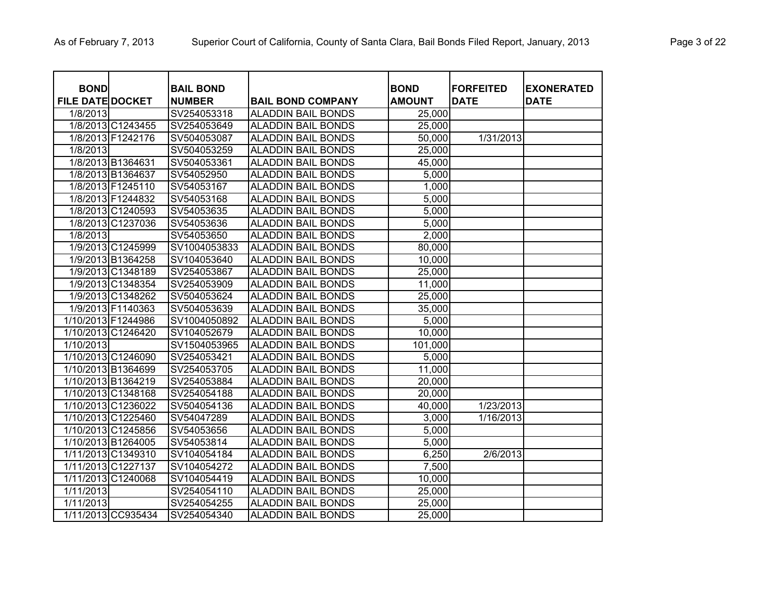| <b>BOND</b>             |                    | <b>BAIL BOND</b> |                           | <b>BOND</b>   | <b>FORFEITED</b> | <b>EXONERATED</b> |
|-------------------------|--------------------|------------------|---------------------------|---------------|------------------|-------------------|
| <b>FILE DATE DOCKET</b> |                    | <b>NUMBER</b>    | <b>BAIL BOND COMPANY</b>  | <b>AMOUNT</b> | <b>DATE</b>      | <b>DATE</b>       |
| 1/8/2013                |                    | SV254053318      | <b>ALADDIN BAIL BONDS</b> | 25,000        |                  |                   |
|                         | 1/8/2013 C1243455  | SV254053649      | <b>ALADDIN BAIL BONDS</b> | 25,000        |                  |                   |
|                         | 1/8/2013 F1242176  | SV504053087      | <b>ALADDIN BAIL BONDS</b> | 50,000        | 1/31/2013        |                   |
| 1/8/2013                |                    | SV504053259      | <b>ALADDIN BAIL BONDS</b> | 25,000        |                  |                   |
|                         | 1/8/2013 B1364631  | SV504053361      | <b>ALADDIN BAIL BONDS</b> | 45,000        |                  |                   |
|                         | 1/8/2013 B1364637  | SV54052950       | <b>ALADDIN BAIL BONDS</b> | 5,000         |                  |                   |
|                         | 1/8/2013 F1245110  | SV54053167       | <b>ALADDIN BAIL BONDS</b> | 1,000         |                  |                   |
|                         | 1/8/2013 F1244832  | SV54053168       | <b>ALADDIN BAIL BONDS</b> | 5,000         |                  |                   |
|                         | 1/8/2013 C1240593  | SV54053635       | <b>ALADDIN BAIL BONDS</b> | 5,000         |                  |                   |
|                         | 1/8/2013 C1237036  | SV54053636       | <b>ALADDIN BAIL BONDS</b> | 5,000         |                  |                   |
| 1/8/2013                |                    | SV54053650       | <b>ALADDIN BAIL BONDS</b> | 2,000         |                  |                   |
|                         | 1/9/2013 C1245999  | SV1004053833     | <b>ALADDIN BAIL BONDS</b> | 80,000        |                  |                   |
|                         | 1/9/2013 B1364258  | SV104053640      | <b>ALADDIN BAIL BONDS</b> | 10,000        |                  |                   |
|                         | 1/9/2013 C1348189  | SV254053867      | <b>ALADDIN BAIL BONDS</b> | 25,000        |                  |                   |
|                         | 1/9/2013 C1348354  | SV254053909      | <b>ALADDIN BAIL BONDS</b> | 11,000        |                  |                   |
|                         | 1/9/2013 C1348262  | SV504053624      | <b>ALADDIN BAIL BONDS</b> | 25,000        |                  |                   |
|                         | 1/9/2013 F1140363  | SV504053639      | <b>ALADDIN BAIL BONDS</b> | 35,000        |                  |                   |
|                         | 1/10/2013 F1244986 | SV1004050892     | <b>ALADDIN BAIL BONDS</b> | 5,000         |                  |                   |
|                         | 1/10/2013 C1246420 | SV104052679      | <b>ALADDIN BAIL BONDS</b> | 10,000        |                  |                   |
| 1/10/2013               |                    | SV1504053965     | <b>ALADDIN BAIL BONDS</b> | 101,000       |                  |                   |
|                         | 1/10/2013 C1246090 | SV254053421      | <b>ALADDIN BAIL BONDS</b> | 5,000         |                  |                   |
|                         | 1/10/2013 B1364699 | SV254053705      | <b>ALADDIN BAIL BONDS</b> | 11,000        |                  |                   |
|                         | 1/10/2013 B1364219 | SV254053884      | <b>ALADDIN BAIL BONDS</b> | 20,000        |                  |                   |
|                         | 1/10/2013 C1348168 | SV254054188      | <b>ALADDIN BAIL BONDS</b> | 20,000        |                  |                   |
|                         | 1/10/2013 C1236022 | SV504054136      | <b>ALADDIN BAIL BONDS</b> | 40,000        | 1/23/2013        |                   |
|                         | 1/10/2013 C1225460 | SV54047289       | <b>ALADDIN BAIL BONDS</b> | 3,000         | 1/16/2013        |                   |
|                         | 1/10/2013 C1245856 | SV54053656       | <b>ALADDIN BAIL BONDS</b> | 5,000         |                  |                   |
|                         | 1/10/2013 B1264005 | SV54053814       | <b>ALADDIN BAIL BONDS</b> | 5,000         |                  |                   |
|                         | 1/11/2013 C1349310 | SV104054184      | <b>ALADDIN BAIL BONDS</b> | 6,250         | 2/6/2013         |                   |
|                         | 1/11/2013 C1227137 | SV104054272      | <b>ALADDIN BAIL BONDS</b> | 7,500         |                  |                   |
|                         | 1/11/2013 C1240068 | SV104054419      | <b>ALADDIN BAIL BONDS</b> | 10,000        |                  |                   |
| 1/11/2013               |                    | SV254054110      | <b>ALADDIN BAIL BONDS</b> | 25,000        |                  |                   |
| 1/11/2013               |                    | SV254054255      | <b>ALADDIN BAIL BONDS</b> | 25,000        |                  |                   |
|                         | 1/11/2013 CC935434 | SV254054340      | <b>ALADDIN BAIL BONDS</b> | 25,000        |                  |                   |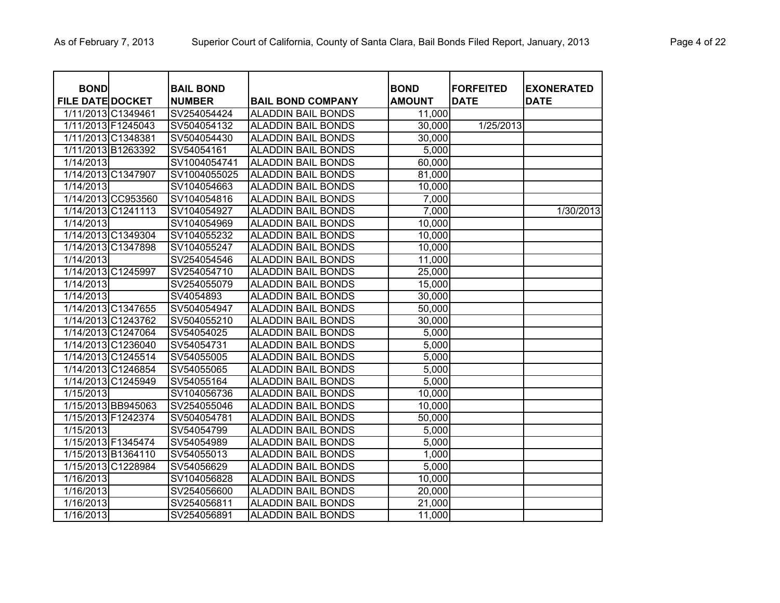| <b>BOND</b><br><b>FILE DATE DOCKET</b> |                    | <b>BAIL BOND</b><br><b>NUMBER</b> | <b>BAIL BOND COMPANY</b>  | <b>BOND</b><br><b>AMOUNT</b> | <b>FORFEITED</b><br><b>DATE</b> | <b>EXONERATED</b><br><b>DATE</b> |
|----------------------------------------|--------------------|-----------------------------------|---------------------------|------------------------------|---------------------------------|----------------------------------|
| 1/11/2013 C1349461                     |                    | SV254054424                       | <b>ALADDIN BAIL BONDS</b> | 11,000                       |                                 |                                  |
| 1/11/2013 F1245043                     |                    | SV504054132                       | <b>ALADDIN BAIL BONDS</b> | 30,000                       | 1/25/2013                       |                                  |
| 1/11/2013 C1348381                     |                    | SV504054430                       | <b>ALADDIN BAIL BONDS</b> | 30,000                       |                                 |                                  |
|                                        | 1/11/2013 B1263392 | SV54054161                        | <b>ALADDIN BAIL BONDS</b> | 5,000                        |                                 |                                  |
| 1/14/2013                              |                    | SV1004054741                      | <b>ALADDIN BAIL BONDS</b> | 60,000                       |                                 |                                  |
| 1/14/2013 C1347907                     |                    | SV1004055025                      | <b>ALADDIN BAIL BONDS</b> | 81,000                       |                                 |                                  |
| 1/14/2013                              |                    | SV104054663                       | <b>ALADDIN BAIL BONDS</b> | 10,000                       |                                 |                                  |
|                                        | 1/14/2013 CC953560 | SV104054816                       | <b>ALADDIN BAIL BONDS</b> | 7,000                        |                                 |                                  |
|                                        | 1/14/2013 C1241113 | SV104054927                       | <b>ALADDIN BAIL BONDS</b> | 7,000                        |                                 | 1/30/2013                        |
| 1/14/2013                              |                    | SV104054969                       | <b>ALADDIN BAIL BONDS</b> | 10,000                       |                                 |                                  |
|                                        | 1/14/2013 C1349304 | SV104055232                       | <b>ALADDIN BAIL BONDS</b> | 10,000                       |                                 |                                  |
|                                        | 1/14/2013 C1347898 | SV104055247                       | <b>ALADDIN BAIL BONDS</b> | 10,000                       |                                 |                                  |
| 1/14/2013                              |                    | SV254054546                       | <b>ALADDIN BAIL BONDS</b> | 11,000                       |                                 |                                  |
| 1/14/2013 C1245997                     |                    | SV254054710                       | <b>ALADDIN BAIL BONDS</b> | 25,000                       |                                 |                                  |
| 1/14/2013                              |                    | SV254055079                       | <b>ALADDIN BAIL BONDS</b> | 15,000                       |                                 |                                  |
| 1/14/2013                              |                    | SV4054893                         | <b>ALADDIN BAIL BONDS</b> | 30,000                       |                                 |                                  |
|                                        | 1/14/2013 C1347655 | SV504054947                       | <b>ALADDIN BAIL BONDS</b> | 50,000                       |                                 |                                  |
|                                        | 1/14/2013 C1243762 | SV504055210                       | <b>ALADDIN BAIL BONDS</b> | 30,000                       |                                 |                                  |
|                                        | 1/14/2013 C1247064 | SV54054025                        | <b>ALADDIN BAIL BONDS</b> | 5,000                        |                                 |                                  |
|                                        | 1/14/2013 C1236040 | SV54054731                        | <b>ALADDIN BAIL BONDS</b> | 5,000                        |                                 |                                  |
|                                        | 1/14/2013 C1245514 | SV54055005                        | <b>ALADDIN BAIL BONDS</b> | 5,000                        |                                 |                                  |
|                                        | 1/14/2013 C1246854 | SV54055065                        | <b>ALADDIN BAIL BONDS</b> | 5,000                        |                                 |                                  |
|                                        | 1/14/2013 C1245949 | SV54055164                        | <b>ALADDIN BAIL BONDS</b> | 5,000                        |                                 |                                  |
| 1/15/2013                              |                    | SV104056736                       | <b>ALADDIN BAIL BONDS</b> | 10,000                       |                                 |                                  |
|                                        | 1/15/2013 BB945063 | SV254055046                       | <b>ALADDIN BAIL BONDS</b> | 10,000                       |                                 |                                  |
| 1/15/2013 F1242374                     |                    | SV504054781                       | <b>ALADDIN BAIL BONDS</b> | 50,000                       |                                 |                                  |
| 1/15/2013                              |                    | SV54054799                        | <b>ALADDIN BAIL BONDS</b> | 5,000                        |                                 |                                  |
|                                        | 1/15/2013 F1345474 | SV54054989                        | <b>ALADDIN BAIL BONDS</b> | 5,000                        |                                 |                                  |
|                                        | 1/15/2013 B1364110 | SV54055013                        | <b>ALADDIN BAIL BONDS</b> | 1,000                        |                                 |                                  |
|                                        | 1/15/2013 C1228984 | SV54056629                        | <b>ALADDIN BAIL BONDS</b> | 5,000                        |                                 |                                  |
| 1/16/2013                              |                    | SV104056828                       | <b>ALADDIN BAIL BONDS</b> | 10,000                       |                                 |                                  |
| 1/16/2013                              |                    | SV254056600                       | <b>ALADDIN BAIL BONDS</b> | 20,000                       |                                 |                                  |
| 1/16/2013                              |                    | SV254056811                       | <b>ALADDIN BAIL BONDS</b> | 21,000                       |                                 |                                  |
| 1/16/2013                              |                    | SV254056891                       | <b>ALADDIN BAIL BONDS</b> | 11,000                       |                                 |                                  |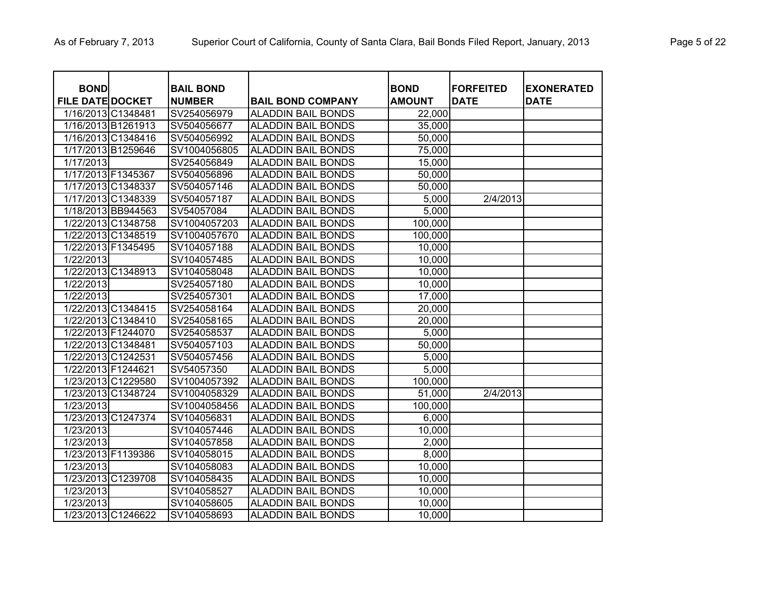| <b>BOND</b>             |                    | <b>BAIL BOND</b> |                           | <b>BOND</b>   | <b>FORFEITED</b> | <b>EXONERATED</b> |
|-------------------------|--------------------|------------------|---------------------------|---------------|------------------|-------------------|
| <b>FILE DATE DOCKET</b> |                    | <b>NUMBER</b>    | <b>BAIL BOND COMPANY</b>  | <b>AMOUNT</b> | <b>DATE</b>      | <b>DATE</b>       |
|                         | 1/16/2013 C1348481 | SV254056979      | <b>ALADDIN BAIL BONDS</b> | 22,000        |                  |                   |
|                         | 1/16/2013 B1261913 | SV504056677      | <b>ALADDIN BAIL BONDS</b> | 35,000        |                  |                   |
|                         | 1/16/2013 C1348416 | SV504056992      | <b>ALADDIN BAIL BONDS</b> | 50,000        |                  |                   |
|                         | 1/17/2013 B1259646 | SV1004056805     | <b>ALADDIN BAIL BONDS</b> | 75,000        |                  |                   |
| 1/17/2013               |                    | SV254056849      | <b>ALADDIN BAIL BONDS</b> | 15,000        |                  |                   |
| 1/17/2013 F1345367      |                    | SV504056896      | <b>ALADDIN BAIL BONDS</b> | 50,000        |                  |                   |
|                         | 1/17/2013 C1348337 | SV504057146      | <b>ALADDIN BAIL BONDS</b> | 50,000        |                  |                   |
|                         | 1/17/2013 C1348339 | SV504057187      | <b>ALADDIN BAIL BONDS</b> | 5,000         | 2/4/2013         |                   |
|                         | 1/18/2013 BB944563 | SV54057084       | <b>ALADDIN BAIL BONDS</b> | 5,000         |                  |                   |
|                         | 1/22/2013 C1348758 | SV1004057203     | <b>ALADDIN BAIL BONDS</b> | 100,000       |                  |                   |
|                         | 1/22/2013 C1348519 | SV1004057670     | <b>ALADDIN BAIL BONDS</b> | 100,000       |                  |                   |
|                         | 1/22/2013 F1345495 | SV104057188      | <b>ALADDIN BAIL BONDS</b> | 10,000        |                  |                   |
| 1/22/2013               |                    | SV104057485      | <b>ALADDIN BAIL BONDS</b> | 10,000        |                  |                   |
|                         | 1/22/2013 C1348913 | SV104058048      | <b>ALADDIN BAIL BONDS</b> | 10,000        |                  |                   |
| 1/22/2013               |                    | SV254057180      | <b>ALADDIN BAIL BONDS</b> | 10,000        |                  |                   |
| 1/22/2013               |                    | SV254057301      | <b>ALADDIN BAIL BONDS</b> | 17,000        |                  |                   |
|                         | 1/22/2013 C1348415 | SV254058164      | <b>ALADDIN BAIL BONDS</b> | 20,000        |                  |                   |
|                         | 1/22/2013 C1348410 | SV254058165      | <b>ALADDIN BAIL BONDS</b> | 20,000        |                  |                   |
|                         | 1/22/2013 F1244070 | SV254058537      | <b>ALADDIN BAIL BONDS</b> | 5,000         |                  |                   |
|                         | 1/22/2013 C1348481 | SV504057103      | <b>ALADDIN BAIL BONDS</b> | 50,000        |                  |                   |
|                         | 1/22/2013 C1242531 | SV504057456      | <b>ALADDIN BAIL BONDS</b> | 5,000         |                  |                   |
| 1/22/2013 F1244621      |                    | SV54057350       | <b>ALADDIN BAIL BONDS</b> | 5,000         |                  |                   |
|                         | 1/23/2013 C1229580 | SV1004057392     | <b>ALADDIN BAIL BONDS</b> | 100,000       |                  |                   |
|                         | 1/23/2013 C1348724 | SV1004058329     | <b>ALADDIN BAIL BONDS</b> | 51,000        | 2/4/2013         |                   |
| 1/23/2013               |                    | SV1004058456     | <b>ALADDIN BAIL BONDS</b> | 100,000       |                  |                   |
|                         | 1/23/2013 C1247374 | SV104056831      | <b>ALADDIN BAIL BONDS</b> | 6,000         |                  |                   |
| 1/23/2013               |                    | SV104057446      | <b>ALADDIN BAIL BONDS</b> | 10,000        |                  |                   |
| 1/23/2013               |                    | SV104057858      | <b>ALADDIN BAIL BONDS</b> | 2,000         |                  |                   |
|                         | 1/23/2013 F1139386 | SV104058015      | <b>ALADDIN BAIL BONDS</b> | 8,000         |                  |                   |
| 1/23/2013               |                    | SV104058083      | <b>ALADDIN BAIL BONDS</b> | 10,000        |                  |                   |
|                         | 1/23/2013 C1239708 | SV104058435      | <b>ALADDIN BAIL BONDS</b> | 10,000        |                  |                   |
| 1/23/2013               |                    | SV104058527      | <b>ALADDIN BAIL BONDS</b> | 10,000        |                  |                   |
| 1/23/2013               |                    | SV104058605      | <b>ALADDIN BAIL BONDS</b> | 10,000        |                  |                   |
|                         | 1/23/2013 C1246622 | SV104058693      | <b>ALADDIN BAIL BONDS</b> | 10,000        |                  |                   |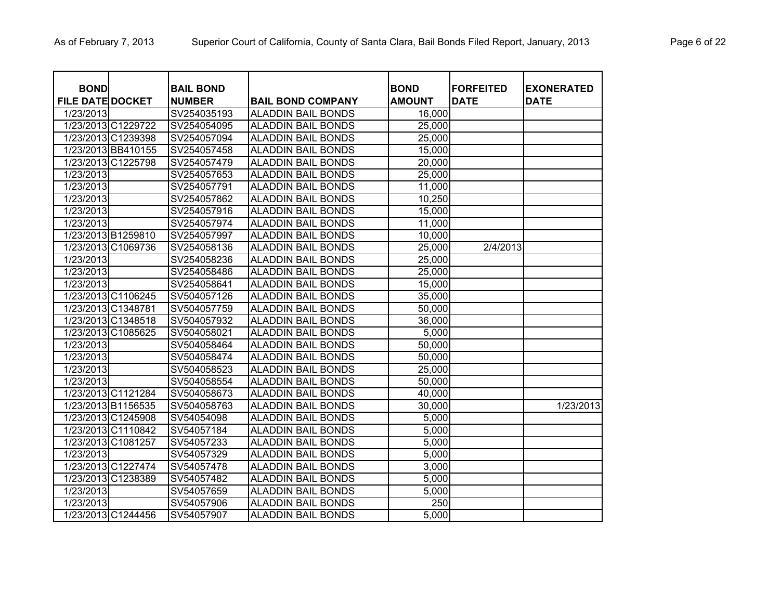| <b>BOND</b><br><b>FILE DATE DOCKET</b> |                    | <b>BAIL BOND</b><br><b>NUMBER</b> |                                                       | <b>BOND</b><br><b>AMOUNT</b> | <b>FORFEITED</b><br><b>DATE</b> | <b>EXONERATED</b><br><b>DATE</b> |
|----------------------------------------|--------------------|-----------------------------------|-------------------------------------------------------|------------------------------|---------------------------------|----------------------------------|
| 1/23/2013                              |                    | SV254035193                       | <b>BAIL BOND COMPANY</b><br><b>ALADDIN BAIL BONDS</b> | 16,000                       |                                 |                                  |
|                                        | 1/23/2013 C1229722 | SV254054095                       | <b>ALADDIN BAIL BONDS</b>                             | 25,000                       |                                 |                                  |
|                                        | 1/23/2013 C1239398 | SV254057094                       | <b>ALADDIN BAIL BONDS</b>                             | 25,000                       |                                 |                                  |
|                                        | 1/23/2013 BB410155 | SV254057458                       | <b>ALADDIN BAIL BONDS</b>                             | 15,000                       |                                 |                                  |
|                                        | 1/23/2013 C1225798 | SV254057479                       | <b>ALADDIN BAIL BONDS</b>                             | 20,000                       |                                 |                                  |
| 1/23/2013                              |                    | SV254057653                       | <b>ALADDIN BAIL BONDS</b>                             | 25,000                       |                                 |                                  |
| 1/23/2013                              |                    | SV254057791                       | <b>ALADDIN BAIL BONDS</b>                             | 11,000                       |                                 |                                  |
| 1/23/2013                              |                    | SV254057862                       | <b>ALADDIN BAIL BONDS</b>                             | 10,250                       |                                 |                                  |
| 1/23/2013                              |                    | SV254057916                       | <b>ALADDIN BAIL BONDS</b>                             | 15,000                       |                                 |                                  |
| 1/23/2013                              |                    | SV254057974                       | <b>ALADDIN BAIL BONDS</b>                             | 11,000                       |                                 |                                  |
|                                        | 1/23/2013 B1259810 | SV254057997                       | <b>ALADDIN BAIL BONDS</b>                             | 10,000                       |                                 |                                  |
|                                        | 1/23/2013 C1069736 | SV254058136                       | <b>ALADDIN BAIL BONDS</b>                             | 25,000                       | 2/4/2013                        |                                  |
| 1/23/2013                              |                    | SV254058236                       | <b>ALADDIN BAIL BONDS</b>                             | 25,000                       |                                 |                                  |
| 1/23/2013                              |                    | SV254058486                       | <b>ALADDIN BAIL BONDS</b>                             | 25,000                       |                                 |                                  |
| 1/23/2013                              |                    | SV254058641                       | <b>ALADDIN BAIL BONDS</b>                             | 15,000                       |                                 |                                  |
|                                        | 1/23/2013 C1106245 | SV504057126                       | <b>ALADDIN BAIL BONDS</b>                             | 35,000                       |                                 |                                  |
|                                        | 1/23/2013 C1348781 | SV504057759                       | <b>ALADDIN BAIL BONDS</b>                             | 50,000                       |                                 |                                  |
|                                        | 1/23/2013 C1348518 | SV504057932                       | <b>ALADDIN BAIL BONDS</b>                             | 36,000                       |                                 |                                  |
|                                        | 1/23/2013 C1085625 | SV504058021                       | <b>ALADDIN BAIL BONDS</b>                             | 5,000                        |                                 |                                  |
| 1/23/2013                              |                    | SV504058464                       | <b>ALADDIN BAIL BONDS</b>                             | 50,000                       |                                 |                                  |
| 1/23/2013                              |                    | SV504058474                       | <b>ALADDIN BAIL BONDS</b>                             | 50,000                       |                                 |                                  |
| 1/23/2013                              |                    | SV504058523                       | <b>ALADDIN BAIL BONDS</b>                             | 25,000                       |                                 |                                  |
| 1/23/2013                              |                    | SV504058554                       | <b>ALADDIN BAIL BONDS</b>                             | 50,000                       |                                 |                                  |
|                                        | 1/23/2013 C1121284 | SV504058673                       | <b>ALADDIN BAIL BONDS</b>                             | 40,000                       |                                 |                                  |
|                                        | 1/23/2013 B1156535 | SV504058763                       | <b>ALADDIN BAIL BONDS</b>                             | 30,000                       |                                 | 1/23/2013                        |
|                                        | 1/23/2013 C1245908 | SV54054098                        | <b>ALADDIN BAIL BONDS</b>                             | 5,000                        |                                 |                                  |
|                                        | 1/23/2013 C1110842 | SV54057184                        | <b>ALADDIN BAIL BONDS</b>                             | 5,000                        |                                 |                                  |
|                                        | 1/23/2013 C1081257 | SV54057233                        | <b>ALADDIN BAIL BONDS</b>                             | 5,000                        |                                 |                                  |
| 1/23/2013                              |                    | SV54057329                        | <b>ALADDIN BAIL BONDS</b>                             | 5,000                        |                                 |                                  |
|                                        | 1/23/2013 C1227474 | SV54057478                        | <b>ALADDIN BAIL BONDS</b>                             | 3,000                        |                                 |                                  |
|                                        | 1/23/2013 C1238389 | SV54057482                        | <b>ALADDIN BAIL BONDS</b>                             | 5,000                        |                                 |                                  |
| 1/23/2013                              |                    | SV54057659                        | <b>ALADDIN BAIL BONDS</b>                             | 5,000                        |                                 |                                  |
| 1/23/2013                              |                    | SV54057906                        | <b>ALADDIN BAIL BONDS</b>                             | $\overline{250}$             |                                 |                                  |
|                                        | 1/23/2013 C1244456 | SV54057907                        | <b>ALADDIN BAIL BONDS</b>                             | 5,000                        |                                 |                                  |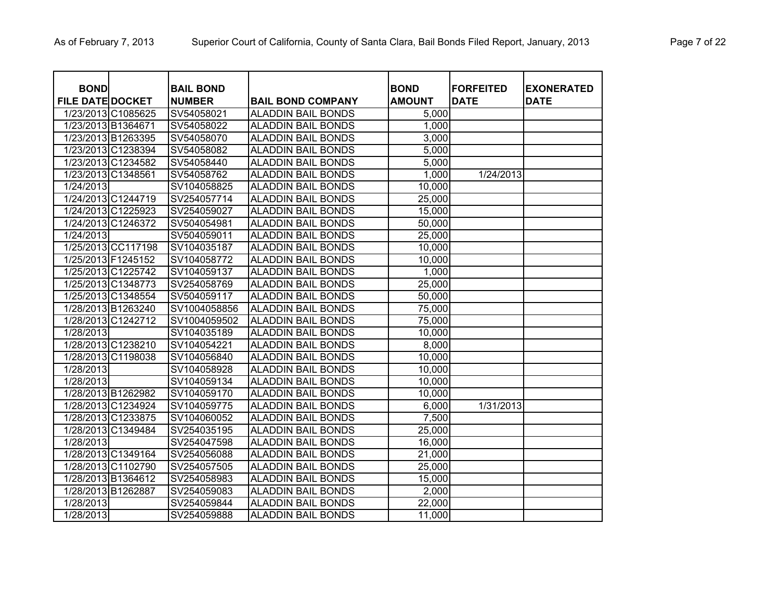| <b>BOND</b>             |                    | <b>BAIL BOND</b> |                           | <b>BOND</b>   | <b>FORFEITED</b> | <b>EXONERATED</b> |
|-------------------------|--------------------|------------------|---------------------------|---------------|------------------|-------------------|
| <b>FILE DATE DOCKET</b> |                    | <b>NUMBER</b>    | <b>BAIL BOND COMPANY</b>  | <b>AMOUNT</b> | <b>DATE</b>      | <b>DATE</b>       |
|                         | 1/23/2013 C1085625 | SV54058021       | <b>ALADDIN BAIL BONDS</b> | 5,000         |                  |                   |
|                         | 1/23/2013 B1364671 | SV54058022       | <b>ALADDIN BAIL BONDS</b> | 1,000         |                  |                   |
|                         | 1/23/2013 B1263395 | SV54058070       | <b>ALADDIN BAIL BONDS</b> | 3,000         |                  |                   |
|                         | 1/23/2013 C1238394 | SV54058082       | <b>ALADDIN BAIL BONDS</b> | 5,000         |                  |                   |
|                         | 1/23/2013 C1234582 | SV54058440       | <b>ALADDIN BAIL BONDS</b> | 5,000         |                  |                   |
|                         | 1/23/2013 C1348561 | SV54058762       | <b>ALADDIN BAIL BONDS</b> | 1,000         | 1/24/2013        |                   |
| 1/24/2013               |                    | SV104058825      | <b>ALADDIN BAIL BONDS</b> | 10,000        |                  |                   |
|                         | 1/24/2013 C1244719 | SV254057714      | <b>ALADDIN BAIL BONDS</b> | 25,000        |                  |                   |
|                         | 1/24/2013 C1225923 | SV254059027      | <b>ALADDIN BAIL BONDS</b> | 15,000        |                  |                   |
|                         | 1/24/2013 C1246372 | SV504054981      | <b>ALADDIN BAIL BONDS</b> | 50,000        |                  |                   |
| 1/24/2013               |                    | SV504059011      | <b>ALADDIN BAIL BONDS</b> | 25,000        |                  |                   |
|                         | 1/25/2013 CC117198 | SV104035187      | <b>ALADDIN BAIL BONDS</b> | 10,000        |                  |                   |
|                         | 1/25/2013 F1245152 | SV104058772      | <b>ALADDIN BAIL BONDS</b> | 10,000        |                  |                   |
|                         | 1/25/2013 C1225742 | SV104059137      | <b>ALADDIN BAIL BONDS</b> | 1,000         |                  |                   |
|                         | 1/25/2013 C1348773 | SV254058769      | <b>ALADDIN BAIL BONDS</b> | 25,000        |                  |                   |
|                         | 1/25/2013 C1348554 | SV504059117      | <b>ALADDIN BAIL BONDS</b> | 50,000        |                  |                   |
|                         | 1/28/2013 B1263240 | SV1004058856     | <b>ALADDIN BAIL BONDS</b> | 75,000        |                  |                   |
|                         | 1/28/2013 C1242712 | SV1004059502     | <b>ALADDIN BAIL BONDS</b> | 75,000        |                  |                   |
| 1/28/2013               |                    | SV104035189      | <b>ALADDIN BAIL BONDS</b> | 10,000        |                  |                   |
|                         | 1/28/2013 C1238210 | SV104054221      | <b>ALADDIN BAIL BONDS</b> | 8,000         |                  |                   |
|                         | 1/28/2013 C1198038 | SV104056840      | <b>ALADDIN BAIL BONDS</b> | 10,000        |                  |                   |
| 1/28/2013               |                    | SV104058928      | <b>ALADDIN BAIL BONDS</b> | 10,000        |                  |                   |
| 1/28/2013               |                    | SV104059134      | <b>ALADDIN BAIL BONDS</b> | 10,000        |                  |                   |
|                         | 1/28/2013 B1262982 | SV104059170      | <b>ALADDIN BAIL BONDS</b> | 10,000        |                  |                   |
|                         | 1/28/2013 C1234924 | SV104059775      | <b>ALADDIN BAIL BONDS</b> | 6,000         | 1/31/2013        |                   |
|                         | 1/28/2013 C1233875 | SV104060052      | <b>ALADDIN BAIL BONDS</b> | 7,500         |                  |                   |
|                         | 1/28/2013 C1349484 | SV254035195      | <b>ALADDIN BAIL BONDS</b> | 25,000        |                  |                   |
| 1/28/2013               |                    | SV254047598      | <b>ALADDIN BAIL BONDS</b> | 16,000        |                  |                   |
|                         | 1/28/2013 C1349164 | SV254056088      | <b>ALADDIN BAIL BONDS</b> | 21,000        |                  |                   |
|                         | 1/28/2013 C1102790 | SV254057505      | <b>ALADDIN BAIL BONDS</b> | 25,000        |                  |                   |
|                         | 1/28/2013 B1364612 | SV254058983      | <b>ALADDIN BAIL BONDS</b> | 15,000        |                  |                   |
|                         | 1/28/2013 B1262887 | SV254059083      | <b>ALADDIN BAIL BONDS</b> | 2,000         |                  |                   |
| 1/28/2013               |                    | SV254059844      | <b>ALADDIN BAIL BONDS</b> | 22,000        |                  |                   |
| 1/28/2013               |                    | SV254059888      | <b>ALADDIN BAIL BONDS</b> | 11,000        |                  |                   |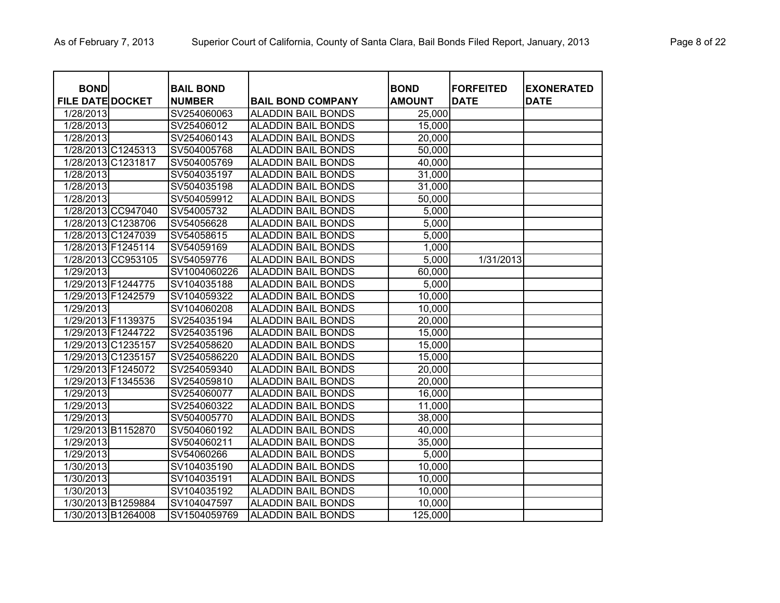| <b>BOND</b>             |                    |                                   |                           | <b>BOND</b>   | <b>FORFEITED</b> | <b>EXONERATED</b> |
|-------------------------|--------------------|-----------------------------------|---------------------------|---------------|------------------|-------------------|
| <b>FILE DATE DOCKET</b> |                    | <b>BAIL BOND</b><br><b>NUMBER</b> | <b>BAIL BOND COMPANY</b>  | <b>AMOUNT</b> | <b>DATE</b>      | <b>DATE</b>       |
| 1/28/2013               |                    | SV254060063                       | <b>ALADDIN BAIL BONDS</b> | 25,000        |                  |                   |
| 1/28/2013               |                    | SV25406012                        | <b>ALADDIN BAIL BONDS</b> | 15,000        |                  |                   |
| 1/28/2013               |                    | SV254060143                       | <b>ALADDIN BAIL BONDS</b> | 20,000        |                  |                   |
|                         | 1/28/2013 C1245313 | SV504005768                       | <b>ALADDIN BAIL BONDS</b> | 50,000        |                  |                   |
|                         | 1/28/2013 C1231817 | SV504005769                       | <b>ALADDIN BAIL BONDS</b> | 40,000        |                  |                   |
| 1/28/2013               |                    | SV504035197                       | <b>ALADDIN BAIL BONDS</b> | 31,000        |                  |                   |
| 1/28/2013               |                    | SV504035198                       | <b>ALADDIN BAIL BONDS</b> | 31,000        |                  |                   |
| 1/28/2013               |                    | SV504059912                       | <b>ALADDIN BAIL BONDS</b> | 50,000        |                  |                   |
|                         | 1/28/2013 CC947040 | SV54005732                        | <b>ALADDIN BAIL BONDS</b> | 5,000         |                  |                   |
|                         | 1/28/2013 C1238706 | SV54056628                        | <b>ALADDIN BAIL BONDS</b> | 5,000         |                  |                   |
|                         | 1/28/2013 C1247039 | SV54058615                        | <b>ALADDIN BAIL BONDS</b> | 5,000         |                  |                   |
|                         | 1/28/2013 F1245114 | SV54059169                        | <b>ALADDIN BAIL BONDS</b> | 1,000         |                  |                   |
|                         | 1/28/2013 CC953105 | SV54059776                        | <b>ALADDIN BAIL BONDS</b> | 5,000         | 1/31/2013        |                   |
| 1/29/2013               |                    | SV1004060226                      | <b>ALADDIN BAIL BONDS</b> | 60,000        |                  |                   |
|                         | 1/29/2013 F1244775 | SV104035188                       | <b>ALADDIN BAIL BONDS</b> | 5,000         |                  |                   |
|                         | 1/29/2013 F1242579 | SV104059322                       | <b>ALADDIN BAIL BONDS</b> | 10,000        |                  |                   |
| 1/29/2013               |                    | SV104060208                       | <b>ALADDIN BAIL BONDS</b> | 10,000        |                  |                   |
|                         | 1/29/2013 F1139375 | SV254035194                       | <b>ALADDIN BAIL BONDS</b> | 20,000        |                  |                   |
|                         | 1/29/2013 F1244722 | SV254035196                       | <b>ALADDIN BAIL BONDS</b> | 15,000        |                  |                   |
|                         | 1/29/2013 C1235157 | SV254058620                       | <b>ALADDIN BAIL BONDS</b> | 15,000        |                  |                   |
|                         | 1/29/2013 C1235157 | SV2540586220                      | <b>ALADDIN BAIL BONDS</b> | 15,000        |                  |                   |
|                         | 1/29/2013 F1245072 | SV254059340                       | <b>ALADDIN BAIL BONDS</b> | 20,000        |                  |                   |
|                         | 1/29/2013 F1345536 | SV254059810                       | <b>ALADDIN BAIL BONDS</b> | 20,000        |                  |                   |
| 1/29/2013               |                    | SV254060077                       | <b>ALADDIN BAIL BONDS</b> | 16,000        |                  |                   |
| 1/29/2013               |                    | SV254060322                       | <b>ALADDIN BAIL BONDS</b> | 11,000        |                  |                   |
| 1/29/2013               |                    | SV504005770                       | <b>ALADDIN BAIL BONDS</b> | 38,000        |                  |                   |
|                         | 1/29/2013 B1152870 | SV504060192                       | <b>ALADDIN BAIL BONDS</b> | 40,000        |                  |                   |
| 1/29/2013               |                    | SV504060211                       | <b>ALADDIN BAIL BONDS</b> | 35,000        |                  |                   |
| 1/29/2013               |                    | SV54060266                        | <b>ALADDIN BAIL BONDS</b> | 5,000         |                  |                   |
| 1/30/2013               |                    | SV104035190                       | <b>ALADDIN BAIL BONDS</b> | 10,000        |                  |                   |
| 1/30/2013               |                    | SV104035191                       | <b>ALADDIN BAIL BONDS</b> | 10,000        |                  |                   |
| 1/30/2013               |                    | SV104035192                       | <b>ALADDIN BAIL BONDS</b> | 10,000        |                  |                   |
|                         | 1/30/2013 B1259884 | SV104047597                       | <b>ALADDIN BAIL BONDS</b> | 10,000        |                  |                   |
|                         | 1/30/2013 B1264008 | SV1504059769                      | <b>ALADDIN BAIL BONDS</b> | 125,000       |                  |                   |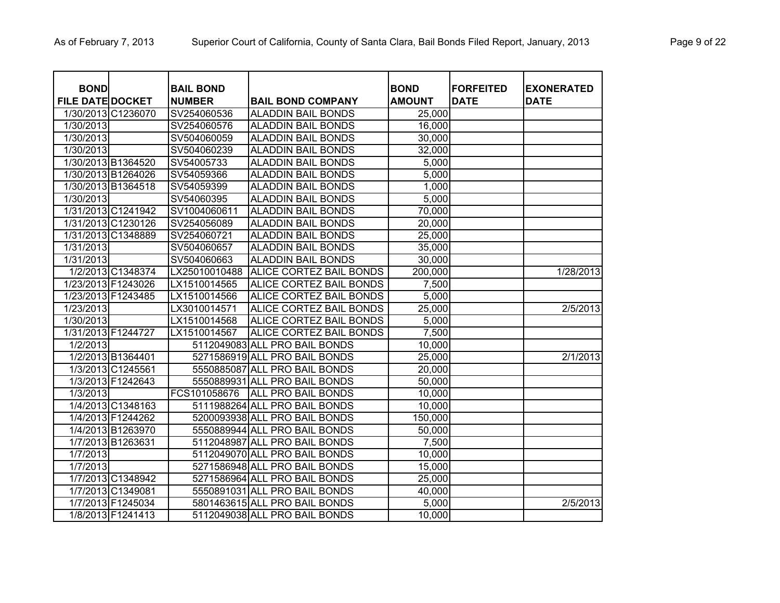| <b>BOND</b><br><b>FILE DATE DOCKET</b> |                    | <b>BAIL BOND</b><br><b>NUMBER</b> | <b>BAIL BOND COMPANY</b>      | <b>BOND</b><br><b>AMOUNT</b> | <b>IFORFEITED</b><br><b>DATE</b> | <b>EXONERATED</b><br><b>DATE</b> |
|----------------------------------------|--------------------|-----------------------------------|-------------------------------|------------------------------|----------------------------------|----------------------------------|
|                                        | 1/30/2013 C1236070 | SV254060536                       | <b>ALADDIN BAIL BONDS</b>     | 25,000                       |                                  |                                  |
| 1/30/2013                              |                    | SV254060576                       | ALADDIN BAIL BONDS            | 16,000                       |                                  |                                  |
| 1/30/2013                              |                    | SV504060059                       | <b>ALADDIN BAIL BONDS</b>     | 30,000                       |                                  |                                  |
| 1/30/2013                              |                    | SV504060239                       | ALADDIN BAIL BONDS            | 32,000                       |                                  |                                  |
|                                        | 1/30/2013 B1364520 | SV54005733                        | <b>ALADDIN BAIL BONDS</b>     | 5,000                        |                                  |                                  |
|                                        | 1/30/2013 B1264026 | SV54059366                        | <b>ALADDIN BAIL BONDS</b>     | 5,000                        |                                  |                                  |
|                                        | 1/30/2013 B1364518 | SV54059399                        | <b>ALADDIN BAIL BONDS</b>     | 1,000                        |                                  |                                  |
| 1/30/2013                              |                    | SV54060395                        | <b>ALADDIN BAIL BONDS</b>     | 5,000                        |                                  |                                  |
|                                        | 1/31/2013 C1241942 | SV1004060611                      | <b>ALADDIN BAIL BONDS</b>     | 70,000                       |                                  |                                  |
|                                        | 1/31/2013 C1230126 | SV254056089                       | <b>ALADDIN BAIL BONDS</b>     | 20,000                       |                                  |                                  |
|                                        | 1/31/2013 C1348889 | SV254060721                       | <b>ALADDIN BAIL BONDS</b>     | 25,000                       |                                  |                                  |
| 1/31/2013                              |                    | SV504060657                       | <b>ALADDIN BAIL BONDS</b>     | 35,000                       |                                  |                                  |
| 1/31/2013                              |                    | SV504060663                       | <b>ALADDIN BAIL BONDS</b>     | 30,000                       |                                  |                                  |
|                                        | 1/2/2013 C1348374  | LX25010010488                     | ALICE CORTEZ BAIL BONDS       | 200,000                      |                                  | 1/28/2013                        |
|                                        | 1/23/2013 F1243026 | LX1510014565                      | ALICE CORTEZ BAIL BONDS       | 7,500                        |                                  |                                  |
|                                        | 1/23/2013 F1243485 | LX1510014566                      | ALICE CORTEZ BAIL BONDS       | 5,000                        |                                  |                                  |
| 1/23/2013                              |                    | LX3010014571                      | ALICE CORTEZ BAIL BONDS       | 25,000                       |                                  | 2/5/2013                         |
| 1/30/2013                              |                    | LX1510014568                      | ALICE CORTEZ BAIL BONDS       | 5,000                        |                                  |                                  |
|                                        | 1/31/2013 F1244727 | LX1510014567                      | ALICE CORTEZ BAIL BONDS       | 7,500                        |                                  |                                  |
| 1/2/2013                               |                    |                                   | 5112049083 ALL PRO BAIL BONDS | 10,000                       |                                  |                                  |
|                                        | 1/2/2013 B1364401  |                                   | 5271586919 ALL PRO BAIL BONDS | 25,000                       |                                  | 2/1/2013                         |
|                                        | 1/3/2013 C1245561  |                                   | 5550885087 ALL PRO BAIL BONDS | 20,000                       |                                  |                                  |
|                                        | 1/3/2013 F1242643  |                                   | 5550889931 ALL PRO BAIL BONDS | 50,000                       |                                  |                                  |
| 1/3/2013                               |                    | FCS101058676                      | <b>ALL PRO BAIL BONDS</b>     | 10,000                       |                                  |                                  |
|                                        | 1/4/2013 C1348163  |                                   | 5111988264 ALL PRO BAIL BONDS | 10,000                       |                                  |                                  |
|                                        | 1/4/2013 F1244262  |                                   | 5200093938 ALL PRO BAIL BONDS | 150,000                      |                                  |                                  |
|                                        | 1/4/2013 B1263970  |                                   | 5550889944 ALL PRO BAIL BONDS | 50,000                       |                                  |                                  |
|                                        | 1/7/2013 B1263631  |                                   | 5112048987 ALL PRO BAIL BONDS | 7,500                        |                                  |                                  |
| 1/7/2013                               |                    |                                   | 5112049070 ALL PRO BAIL BONDS | 10,000                       |                                  |                                  |
| 1/7/2013                               |                    |                                   | 5271586948 ALL PRO BAIL BONDS | 15,000                       |                                  |                                  |
|                                        | 1/7/2013 C1348942  |                                   | 5271586964 ALL PRO BAIL BONDS | 25,000                       |                                  |                                  |
|                                        | 1/7/2013 C1349081  |                                   | 5550891031 ALL PRO BAIL BONDS | 40,000                       |                                  |                                  |
|                                        | 1/7/2013 F1245034  |                                   | 5801463615 ALL PRO BAIL BONDS | 5,000                        |                                  | 2/5/2013                         |
|                                        | 1/8/2013 F1241413  |                                   | 5112049038 ALL PRO BAIL BONDS | 10,000                       |                                  |                                  |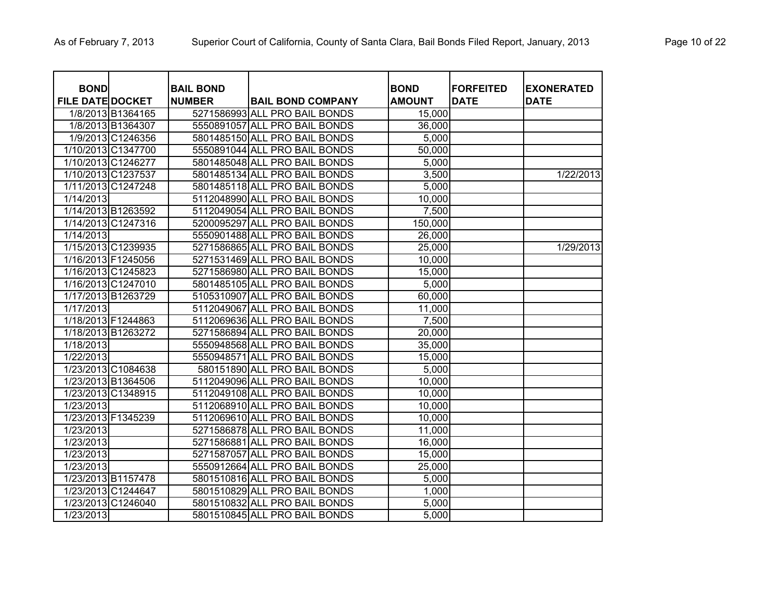| <b>BOND</b>             |                    | <b>BAIL BOND</b> |                               | <b>BOND</b>   | <b>FORFEITED</b> | <b>EXONERATED</b> |
|-------------------------|--------------------|------------------|-------------------------------|---------------|------------------|-------------------|
| <b>FILE DATE DOCKET</b> |                    | <b>NUMBER</b>    | <b>BAIL BOND COMPANY</b>      | <b>AMOUNT</b> | <b>DATE</b>      | <b>DATE</b>       |
|                         | 1/8/2013 B1364165  |                  | 5271586993 ALL PRO BAIL BONDS | 15,000        |                  |                   |
|                         | 1/8/2013 B1364307  |                  | 5550891057 ALL PRO BAIL BONDS | 36,000        |                  |                   |
|                         | 1/9/2013 C1246356  |                  | 5801485150 ALL PRO BAIL BONDS | 5,000         |                  |                   |
|                         | 1/10/2013 C1347700 |                  | 5550891044 ALL PRO BAIL BONDS | 50,000        |                  |                   |
|                         | 1/10/2013 C1246277 |                  | 5801485048 ALL PRO BAIL BONDS | 5,000         |                  |                   |
|                         | 1/10/2013 C1237537 |                  | 5801485134 ALL PRO BAIL BONDS | 3,500         |                  | 1/22/2013         |
|                         | 1/11/2013 C1247248 |                  | 5801485118 ALL PRO BAIL BONDS | 5,000         |                  |                   |
| 1/14/2013               |                    |                  | 5112048990 ALL PRO BAIL BONDS | 10,000        |                  |                   |
| 1/14/2013 B1263592      |                    |                  | 5112049054 ALL PRO BAIL BONDS | 7,500         |                  |                   |
| 1/14/2013 C1247316      |                    |                  | 5200095297 ALL PRO BAIL BONDS | 150,000       |                  |                   |
| 1/14/2013               |                    |                  | 5550901488 ALL PRO BAIL BONDS | 26,000        |                  |                   |
|                         | 1/15/2013 C1239935 |                  | 5271586865 ALL PRO BAIL BONDS | 25,000        |                  | 1/29/2013         |
| 1/16/2013 F1245056      |                    |                  | 5271531469 ALL PRO BAIL BONDS | 10,000        |                  |                   |
|                         | 1/16/2013 C1245823 |                  | 5271586980 ALL PRO BAIL BONDS | 15,000        |                  |                   |
|                         | 1/16/2013 C1247010 |                  | 5801485105 ALL PRO BAIL BONDS | 5,000         |                  |                   |
| 1/17/2013 B1263729      |                    |                  | 5105310907 ALL PRO BAIL BONDS | 60,000        |                  |                   |
| 1/17/2013               |                    |                  | 5112049067 ALL PRO BAIL BONDS | 11,000        |                  |                   |
| 1/18/2013 F1244863      |                    |                  | 5112069636 ALL PRO BAIL BONDS | 7,500         |                  |                   |
| 1/18/2013 B1263272      |                    |                  | 5271586894 ALL PRO BAIL BONDS | 20,000        |                  |                   |
| $\overline{1/18/2013}$  |                    |                  | 5550948568 ALL PRO BAIL BONDS | 35,000        |                  |                   |
| 1/22/2013               |                    |                  | 5550948571 ALL PRO BAIL BONDS | 15,000        |                  |                   |
|                         | 1/23/2013 C1084638 |                  | 580151890 ALL PRO BAIL BONDS  | 5,000         |                  |                   |
| 1/23/2013 B1364506      |                    |                  | 5112049096 ALL PRO BAIL BONDS | 10,000        |                  |                   |
| 1/23/2013 C1348915      |                    |                  | 5112049108 ALL PRO BAIL BONDS | 10,000        |                  |                   |
| 1/23/2013               |                    |                  | 5112068910 ALL PRO BAIL BONDS | 10,000        |                  |                   |
| 1/23/2013 F1345239      |                    |                  | 5112069610 ALL PRO BAIL BONDS | 10,000        |                  |                   |
| 1/23/2013               |                    |                  | 5271586878 ALL PRO BAIL BONDS | 11,000        |                  |                   |
| 1/23/2013               |                    |                  | 5271586881 ALL PRO BAIL BONDS | 16,000        |                  |                   |
| 1/23/2013               |                    |                  | 5271587057 ALL PRO BAIL BONDS | 15,000        |                  |                   |
| 1/23/2013               |                    |                  | 5550912664 ALL PRO BAIL BONDS | 25,000        |                  |                   |
| 1/23/2013 B1157478      |                    |                  | 5801510816 ALL PRO BAIL BONDS | 5,000         |                  |                   |
| 1/23/2013 C1244647      |                    |                  | 5801510829 ALL PRO BAIL BONDS | 1,000         |                  |                   |
| 1/23/2013 C1246040      |                    |                  | 5801510832 ALL PRO BAIL BONDS | 5,000         |                  |                   |
| 1/23/2013               |                    |                  | 5801510845 ALL PRO BAIL BONDS | 5,000         |                  |                   |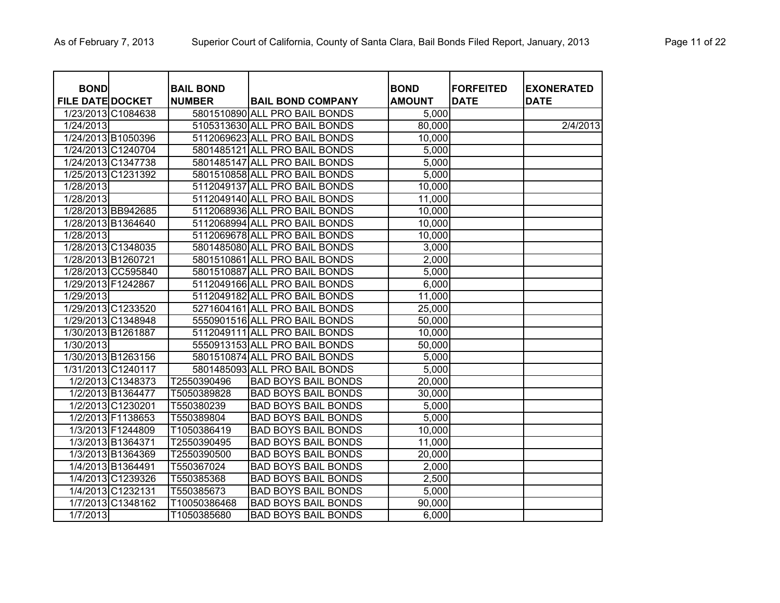| <b>BOND</b>             |                    | <b>BAIL BOND</b> |                               | <b>BOND</b>   | <b>FORFEITED</b> | <b>EXONERATED</b> |
|-------------------------|--------------------|------------------|-------------------------------|---------------|------------------|-------------------|
| <b>FILE DATE DOCKET</b> |                    | <b>NUMBER</b>    | <b>BAIL BOND COMPANY</b>      | <b>AMOUNT</b> | <b>DATE</b>      | <b>DATE</b>       |
|                         | 1/23/2013 C1084638 |                  | 5801510890 ALL PRO BAIL BONDS | 5,000         |                  |                   |
| 1/24/2013               |                    |                  | 5105313630 ALL PRO BAIL BONDS | 80,000        |                  | 2/4/2013          |
|                         | 1/24/2013 B1050396 |                  | 5112069623 ALL PRO BAIL BONDS | 10,000        |                  |                   |
|                         | 1/24/2013 C1240704 |                  | 5801485121 ALL PRO BAIL BONDS | 5,000         |                  |                   |
|                         | 1/24/2013 C1347738 |                  | 5801485147 ALL PRO BAIL BONDS | 5,000         |                  |                   |
|                         | 1/25/2013 C1231392 |                  | 5801510858 ALL PRO BAIL BONDS | 5,000         |                  |                   |
| 1/28/2013               |                    |                  | 5112049137 ALL PRO BAIL BONDS | 10,000        |                  |                   |
| $\overline{1/28/2013}$  |                    |                  | 5112049140 ALL PRO BAIL BONDS | 11,000        |                  |                   |
|                         | 1/28/2013 BB942685 |                  | 5112068936 ALL PRO BAIL BONDS | 10,000        |                  |                   |
|                         | 1/28/2013 B1364640 |                  | 5112068994 ALL PRO BAIL BONDS | 10,000        |                  |                   |
| 1/28/2013               |                    |                  | 5112069678 ALL PRO BAIL BONDS | 10,000        |                  |                   |
|                         | 1/28/2013 C1348035 |                  | 5801485080 ALL PRO BAIL BONDS | 3,000         |                  |                   |
| 1/28/2013 B1260721      |                    |                  | 5801510861 ALL PRO BAIL BONDS | 2,000         |                  |                   |
|                         | 1/28/2013 CC595840 |                  | 5801510887 ALL PRO BAIL BONDS | 5,000         |                  |                   |
| 1/29/2013 F1242867      |                    |                  | 5112049166 ALL PRO BAIL BONDS | 6,000         |                  |                   |
| 1/29/2013               |                    |                  | 5112049182 ALL PRO BAIL BONDS | 11,000        |                  |                   |
|                         | 1/29/2013 C1233520 |                  | 5271604161 ALL PRO BAIL BONDS | 25,000        |                  |                   |
|                         | 1/29/2013 C1348948 |                  | 5550901516 ALL PRO BAIL BONDS | 50,000        |                  |                   |
|                         | 1/30/2013 B1261887 |                  | 5112049111 ALL PRO BAIL BONDS | 10,000        |                  |                   |
| 1/30/2013               |                    |                  | 5550913153 ALL PRO BAIL BONDS | 50,000        |                  |                   |
|                         | 1/30/2013 B1263156 |                  | 5801510874 ALL PRO BAIL BONDS | 5,000         |                  |                   |
|                         | 1/31/2013 C1240117 |                  | 5801485093 ALL PRO BAIL BONDS | 5,000         |                  |                   |
|                         | 1/2/2013 C1348373  | T2550390496      | <b>BAD BOYS BAIL BONDS</b>    | 20,000        |                  |                   |
|                         | 1/2/2013 B1364477  | T5050389828      | <b>BAD BOYS BAIL BONDS</b>    | 30,000        |                  |                   |
|                         | 1/2/2013 C1230201  | T550380239       | <b>BAD BOYS BAIL BONDS</b>    | 5,000         |                  |                   |
|                         | 1/2/2013 F1138653  | T550389804       | <b>BAD BOYS BAIL BONDS</b>    | 5,000         |                  |                   |
|                         | 1/3/2013 F1244809  | T1050386419      | <b>BAD BOYS BAIL BONDS</b>    | 10,000        |                  |                   |
|                         | 1/3/2013 B1364371  | T2550390495      | <b>BAD BOYS BAIL BONDS</b>    | 11,000        |                  |                   |
|                         | 1/3/2013 B1364369  | T2550390500      | <b>BAD BOYS BAIL BONDS</b>    | 20,000        |                  |                   |
|                         | 1/4/2013 B1364491  | T550367024       | <b>BAD BOYS BAIL BONDS</b>    | 2,000         |                  |                   |
|                         | 1/4/2013 C1239326  | T550385368       | <b>BAD BOYS BAIL BONDS</b>    | 2,500         |                  |                   |
|                         | 1/4/2013 C1232131  | T550385673       | <b>BAD BOYS BAIL BONDS</b>    | 5,000         |                  |                   |
|                         | 1/7/2013 C1348162  | T10050386468     | <b>BAD BOYS BAIL BONDS</b>    | 90,000        |                  |                   |
| 1/7/2013                |                    | T1050385680      | <b>BAD BOYS BAIL BONDS</b>    | 6,000         |                  |                   |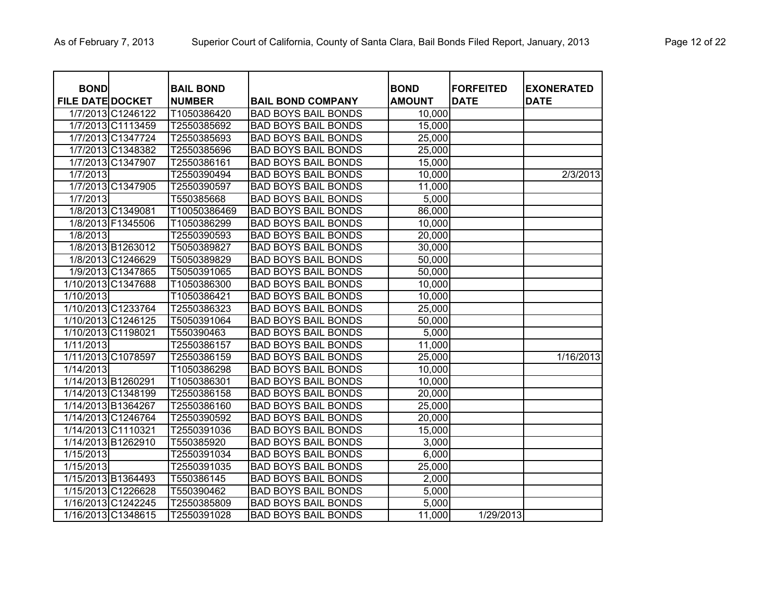| <b>BOND</b>             |                    | <b>BAIL BOND</b> |                            | <b>BOND</b>   | <b>FORFEITED</b> | <b>EXONERATED</b> |
|-------------------------|--------------------|------------------|----------------------------|---------------|------------------|-------------------|
| <b>FILE DATE DOCKET</b> |                    | <b>NUMBER</b>    | <b>BAIL BOND COMPANY</b>   | <b>AMOUNT</b> | <b>DATE</b>      | <b>DATE</b>       |
|                         | 1/7/2013 C1246122  | T1050386420      | <b>BAD BOYS BAIL BONDS</b> | 10,000        |                  |                   |
|                         | 1/7/2013 C1113459  | T2550385692      | <b>BAD BOYS BAIL BONDS</b> | 15,000        |                  |                   |
|                         | 1/7/2013 C1347724  | T2550385693      | <b>BAD BOYS BAIL BONDS</b> | 25,000        |                  |                   |
|                         | 1/7/2013 C1348382  | T2550385696      | <b>BAD BOYS BAIL BONDS</b> | 25,000        |                  |                   |
|                         | 1/7/2013 C1347907  | T2550386161      | <b>BAD BOYS BAIL BONDS</b> | 15,000        |                  |                   |
| 1/7/2013                |                    | T2550390494      | <b>BAD BOYS BAIL BONDS</b> | 10,000        |                  | 2/3/2013          |
|                         | 1/7/2013 C1347905  | T2550390597      | <b>BAD BOYS BAIL BONDS</b> | 11,000        |                  |                   |
| 1/7/2013                |                    | T550385668       | <b>BAD BOYS BAIL BONDS</b> | 5,000         |                  |                   |
|                         | 1/8/2013 C1349081  | T10050386469     | <b>BAD BOYS BAIL BONDS</b> | 86,000        |                  |                   |
|                         | 1/8/2013 F1345506  | T1050386299      | <b>BAD BOYS BAIL BONDS</b> | 10,000        |                  |                   |
| 1/8/2013                |                    | T2550390593      | <b>BAD BOYS BAIL BONDS</b> | 20,000        |                  |                   |
|                         | 1/8/2013 B1263012  | T5050389827      | <b>BAD BOYS BAIL BONDS</b> | 30,000        |                  |                   |
|                         | 1/8/2013 C1246629  | T5050389829      | <b>BAD BOYS BAIL BONDS</b> | 50,000        |                  |                   |
|                         | 1/9/2013 C1347865  | T5050391065      | <b>BAD BOYS BAIL BONDS</b> | 50,000        |                  |                   |
|                         | 1/10/2013 C1347688 | T1050386300      | <b>BAD BOYS BAIL BONDS</b> | 10,000        |                  |                   |
| 1/10/2013               |                    | T1050386421      | <b>BAD BOYS BAIL BONDS</b> | 10,000        |                  |                   |
|                         | 1/10/2013 C1233764 | T2550386323      | <b>BAD BOYS BAIL BONDS</b> | 25,000        |                  |                   |
|                         | 1/10/2013 C1246125 | T5050391064      | <b>BAD BOYS BAIL BONDS</b> | 50,000        |                  |                   |
| 1/10/2013 C1198021      |                    | T550390463       | <b>BAD BOYS BAIL BONDS</b> | 5,000         |                  |                   |
| 1/11/2013               |                    | T2550386157      | <b>BAD BOYS BAIL BONDS</b> | 11,000        |                  |                   |
| 1/11/2013 C1078597      |                    | T2550386159      | <b>BAD BOYS BAIL BONDS</b> | 25,000        |                  | 1/16/2013         |
| 1/14/2013               |                    | T1050386298      | <b>BAD BOYS BAIL BONDS</b> | 10,000        |                  |                   |
| 1/14/2013 B1260291      |                    | T1050386301      | <b>BAD BOYS BAIL BONDS</b> | 10,000        |                  |                   |
| 1/14/2013 C1348199      |                    | T2550386158      | <b>BAD BOYS BAIL BONDS</b> | 20,000        |                  |                   |
| 1/14/2013 B1364267      |                    | T2550386160      | <b>BAD BOYS BAIL BONDS</b> | 25,000        |                  |                   |
| 1/14/2013 C1246764      |                    | T2550390592      | <b>BAD BOYS BAIL BONDS</b> | 20,000        |                  |                   |
| 1/14/2013 C1110321      |                    | T2550391036      | <b>BAD BOYS BAIL BONDS</b> | 15,000        |                  |                   |
| 1/14/2013 B1262910      |                    | T550385920       | <b>BAD BOYS BAIL BONDS</b> | 3,000         |                  |                   |
| 1/15/2013               |                    | T2550391034      | <b>BAD BOYS BAIL BONDS</b> | 6,000         |                  |                   |
| 1/15/2013               |                    | T2550391035      | <b>BAD BOYS BAIL BONDS</b> | 25,000        |                  |                   |
|                         | 1/15/2013 B1364493 | T550386145       | <b>BAD BOYS BAIL BONDS</b> | 2,000         |                  |                   |
|                         | 1/15/2013 C1226628 | T550390462       | <b>BAD BOYS BAIL BONDS</b> | 5,000         |                  |                   |
|                         | 1/16/2013 C1242245 | T2550385809      | <b>BAD BOYS BAIL BONDS</b> | 5,000         |                  |                   |
|                         | 1/16/2013 C1348615 | T2550391028      | <b>BAD BOYS BAIL BONDS</b> | 11,000        | 1/29/2013        |                   |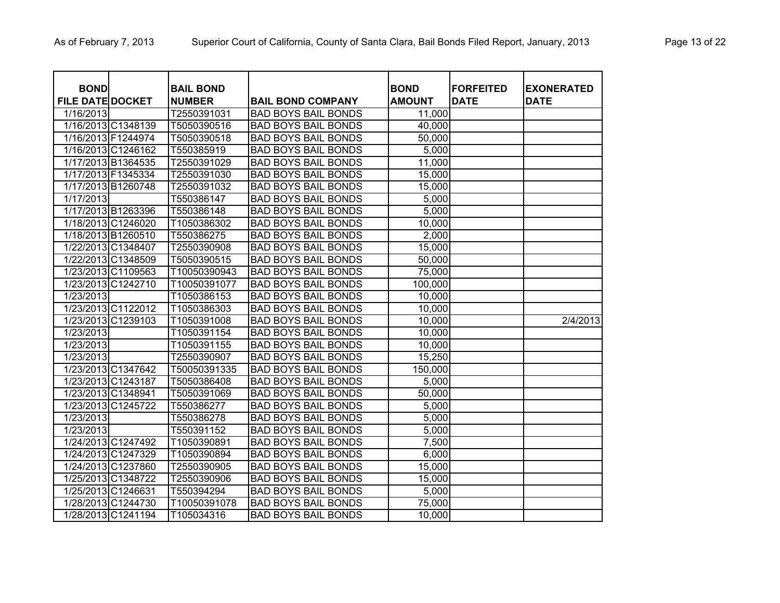| <b>BOND</b>             |                    | <b>BAIL BOND</b> |                            | <b>BOND</b>   | <b>FORFEITED</b> | <b>EXONERATED</b> |
|-------------------------|--------------------|------------------|----------------------------|---------------|------------------|-------------------|
| <b>FILE DATE DOCKET</b> |                    | <b>NUMBER</b>    | <b>BAIL BOND COMPANY</b>   | <b>AMOUNT</b> | <b>DATE</b>      | <b>DATE</b>       |
| 1/16/2013               |                    | T2550391031      | <b>BAD BOYS BAIL BONDS</b> | 11,000        |                  |                   |
|                         | 1/16/2013 C1348139 | T5050390516      | <b>BAD BOYS BAIL BONDS</b> | 40,000        |                  |                   |
| 1/16/2013 F1244974      |                    | T5050390518      | <b>BAD BOYS BAIL BONDS</b> | 50,000        |                  |                   |
|                         | 1/16/2013 C1246162 | T550385919       | <b>BAD BOYS BAIL BONDS</b> | 5,000         |                  |                   |
|                         | 1/17/2013 B1364535 | T2550391029      | <b>BAD BOYS BAIL BONDS</b> | 11,000        |                  |                   |
|                         | 1/17/2013 F1345334 | T2550391030      | <b>BAD BOYS BAIL BONDS</b> | 15,000        |                  |                   |
|                         | 1/17/2013 B1260748 | T2550391032      | <b>BAD BOYS BAIL BONDS</b> | 15,000        |                  |                   |
| 1/17/2013               |                    | T550386147       | <b>BAD BOYS BAIL BONDS</b> | 5,000         |                  |                   |
|                         | 1/17/2013 B1263396 | T550386148       | <b>BAD BOYS BAIL BONDS</b> | 5,000         |                  |                   |
|                         | 1/18/2013 C1246020 | T1050386302      | <b>BAD BOYS BAIL BONDS</b> | 10,000        |                  |                   |
|                         | 1/18/2013 B1260510 | T550386275       | <b>BAD BOYS BAIL BONDS</b> | 2,000         |                  |                   |
|                         | 1/22/2013 C1348407 | T2550390908      | <b>BAD BOYS BAIL BONDS</b> | 15,000        |                  |                   |
|                         | 1/22/2013 C1348509 | T5050390515      | <b>BAD BOYS BAIL BONDS</b> | 50,000        |                  |                   |
|                         | 1/23/2013 C1109563 | T10050390943     | <b>BAD BOYS BAIL BONDS</b> | 75,000        |                  |                   |
|                         | 1/23/2013 C1242710 | T10050391077     | <b>BAD BOYS BAIL BONDS</b> | 100,000       |                  |                   |
| 1/23/2013               |                    | T1050386153      | <b>BAD BOYS BAIL BONDS</b> | 10,000        |                  |                   |
|                         | 1/23/2013 C1122012 | T1050386303      | <b>BAD BOYS BAIL BONDS</b> | 10,000        |                  |                   |
|                         | 1/23/2013 C1239103 | T1050391008      | <b>BAD BOYS BAIL BONDS</b> | 10,000        |                  | 2/4/2013          |
| 1/23/2013               |                    | T1050391154      | <b>BAD BOYS BAIL BONDS</b> | 10,000        |                  |                   |
| 1/23/2013               |                    | T1050391155      | <b>BAD BOYS BAIL BONDS</b> | 10,000        |                  |                   |
| 1/23/2013               |                    | T2550390907      | <b>BAD BOYS BAIL BONDS</b> | 15,250        |                  |                   |
|                         | 1/23/2013 C1347642 | T50050391335     | <b>BAD BOYS BAIL BONDS</b> | 150,000       |                  |                   |
|                         | 1/23/2013 C1243187 | T5050386408      | <b>BAD BOYS BAIL BONDS</b> | 5,000         |                  |                   |
| 1/23/2013 C1348941      |                    | T5050391069      | <b>BAD BOYS BAIL BONDS</b> | 50,000        |                  |                   |
|                         | 1/23/2013 C1245722 | T550386277       | <b>BAD BOYS BAIL BONDS</b> | 5,000         |                  |                   |
| 1/23/2013               |                    | T550386278       | <b>BAD BOYS BAIL BONDS</b> | 5,000         |                  |                   |
| 1/23/2013               |                    | T550391152       | <b>BAD BOYS BAIL BONDS</b> | 5,000         |                  |                   |
|                         | 1/24/2013 C1247492 | T1050390891      | <b>BAD BOYS BAIL BONDS</b> | 7,500         |                  |                   |
|                         | 1/24/2013 C1247329 | T1050390894      | <b>BAD BOYS BAIL BONDS</b> | 6,000         |                  |                   |
|                         | 1/24/2013 C1237860 | T2550390905      | <b>BAD BOYS BAIL BONDS</b> | 15,000        |                  |                   |
|                         | 1/25/2013 C1348722 | T2550390906      | <b>BAD BOYS BAIL BONDS</b> | 15,000        |                  |                   |
| 1/25/2013 C1246631      |                    | T550394294       | <b>BAD BOYS BAIL BONDS</b> | 5,000         |                  |                   |
|                         | 1/28/2013 C1244730 | T10050391078     | <b>BAD BOYS BAIL BONDS</b> | 75,000        |                  |                   |
|                         | 1/28/2013 C1241194 | T105034316       | <b>BAD BOYS BAIL BONDS</b> | 10,000        |                  |                   |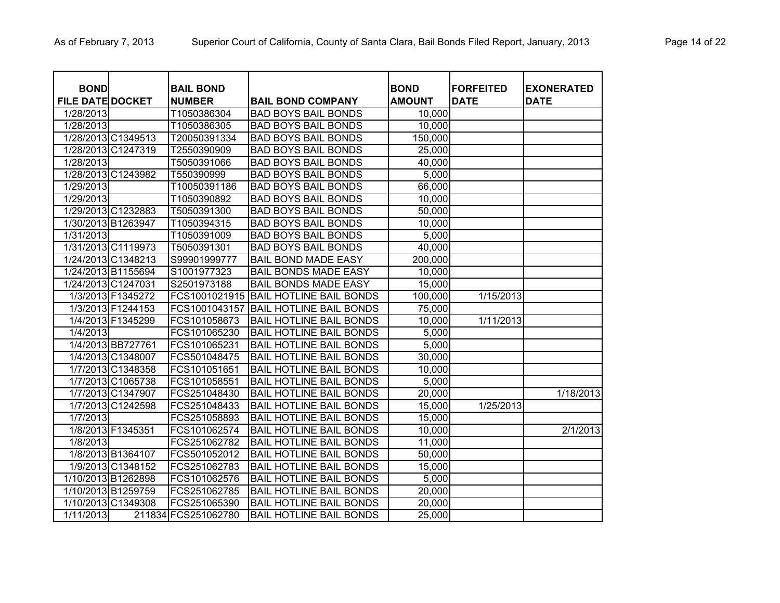| <b>BOND</b>             |                    | <b>BAIL BOND</b>    |                                | <b>BOND</b>   | <b>FORFEITED</b> | <b>EXONERATED</b> |
|-------------------------|--------------------|---------------------|--------------------------------|---------------|------------------|-------------------|
| <b>FILE DATE DOCKET</b> |                    | <b>NUMBER</b>       | <b>BAIL BOND COMPANY</b>       | <b>AMOUNT</b> | <b>DATE</b>      | <b>DATE</b>       |
| 1/28/2013               |                    | T1050386304         | <b>BAD BOYS BAIL BONDS</b>     | 10,000        |                  |                   |
| 1/28/2013               |                    | T1050386305         | <b>BAD BOYS BAIL BONDS</b>     | 10,000        |                  |                   |
|                         | 1/28/2013 C1349513 | T20050391334        | <b>BAD BOYS BAIL BONDS</b>     | 150,000       |                  |                   |
| 1/28/2013 C1247319      |                    | T2550390909         | <b>BAD BOYS BAIL BONDS</b>     | 25,000        |                  |                   |
| 1/28/2013               |                    | T5050391066         | <b>BAD BOYS BAIL BONDS</b>     | 40,000        |                  |                   |
| 1/28/2013 C1243982      |                    | T550390999          | <b>BAD BOYS BAIL BONDS</b>     | 5,000         |                  |                   |
| 1/29/2013               |                    | T10050391186        | <b>BAD BOYS BAIL BONDS</b>     | 66,000        |                  |                   |
| 1/29/2013               |                    | T1050390892         | <b>BAD BOYS BAIL BONDS</b>     | 10,000        |                  |                   |
|                         | 1/29/2013 C1232883 | T5050391300         | <b>BAD BOYS BAIL BONDS</b>     | 50,000        |                  |                   |
| 1/30/2013 B1263947      |                    | T1050394315         | <b>BAD BOYS BAIL BONDS</b>     | 10,000        |                  |                   |
| 1/31/2013               |                    | T1050391009         | <b>BAD BOYS BAIL BONDS</b>     | 5,000         |                  |                   |
|                         | 1/31/2013 C1119973 | T5050391301         | <b>BAD BOYS BAIL BONDS</b>     | 40,000        |                  |                   |
|                         | 1/24/2013 C1348213 | S99901999777        | <b>BAIL BOND MADE EASY</b>     | 200,000       |                  |                   |
| 1/24/2013 B1155694      |                    | S1001977323         | <b>BAIL BONDS MADE EASY</b>    | 10,000        |                  |                   |
| 1/24/2013 C1247031      |                    | S2501973188         | <b>BAIL BONDS MADE EASY</b>    | 15,000        |                  |                   |
|                         | 1/3/2013 F1345272  | FCS1001021915       | <b>BAIL HOTLINE BAIL BONDS</b> | 100,000       | 1/15/2013        |                   |
|                         | 1/3/2013 F1244153  | FCS1001043157       | <b>BAIL HOTLINE BAIL BONDS</b> | 75,000        |                  |                   |
|                         | 1/4/2013 F1345299  | FCS101058673        | <b>BAIL HOTLINE BAIL BONDS</b> | 10,000        | 1/11/2013        |                   |
| 1/4/2013                |                    | FCS101065230        | <b>BAIL HOTLINE BAIL BONDS</b> | 5,000         |                  |                   |
|                         | 1/4/2013 BB727761  | FCS101065231        | <b>BAIL HOTLINE BAIL BONDS</b> | 5,000         |                  |                   |
|                         | 1/4/2013 C1348007  | FCS501048475        | <b>BAIL HOTLINE BAIL BONDS</b> | 30,000        |                  |                   |
|                         | 1/7/2013 C1348358  | FCS101051651        | <b>BAIL HOTLINE BAIL BONDS</b> | 10,000        |                  |                   |
|                         | 1/7/2013 C1065738  | FCS101058551        | <b>BAIL HOTLINE BAIL BONDS</b> | 5,000         |                  |                   |
|                         | 1/7/2013 C1347907  | FCS251048430        | <b>BAIL HOTLINE BAIL BONDS</b> | 20,000        |                  | 1/18/2013         |
|                         | 1/7/2013 C1242598  | FCS251048433        | <b>BAIL HOTLINE BAIL BONDS</b> | 15,000        | 1/25/2013        |                   |
| $\frac{1}{7}/2013$      |                    | FCS251058893        | <b>BAIL HOTLINE BAIL BONDS</b> | 15,000        |                  |                   |
|                         | 1/8/2013 F1345351  | FCS101062574        | <b>BAIL HOTLINE BAIL BONDS</b> | 10,000        |                  | 2/1/2013          |
| $\sqrt{1/8/2013}$       |                    | FCS251062782        | <b>BAIL HOTLINE BAIL BONDS</b> | 11,000        |                  |                   |
|                         | 1/8/2013 B1364107  | FCS501052012        | <b>BAIL HOTLINE BAIL BONDS</b> | 50,000        |                  |                   |
|                         | 1/9/2013 C1348152  | FCS251062783        | <b>BAIL HOTLINE BAIL BONDS</b> | 15,000        |                  |                   |
|                         | 1/10/2013 B1262898 | FCS101062576        | <b>BAIL HOTLINE BAIL BONDS</b> | 5,000         |                  |                   |
|                         | 1/10/2013 B1259759 | FCS251062785        | <b>BAIL HOTLINE BAIL BONDS</b> | 20,000        |                  |                   |
|                         | 1/10/2013 C1349308 | FCS251065390        | <b>BAIL HOTLINE BAIL BONDS</b> | 20,000        |                  |                   |
| 1/11/2013               |                    | 211834 FCS251062780 | <b>BAIL HOTLINE BAIL BONDS</b> | 25,000        |                  |                   |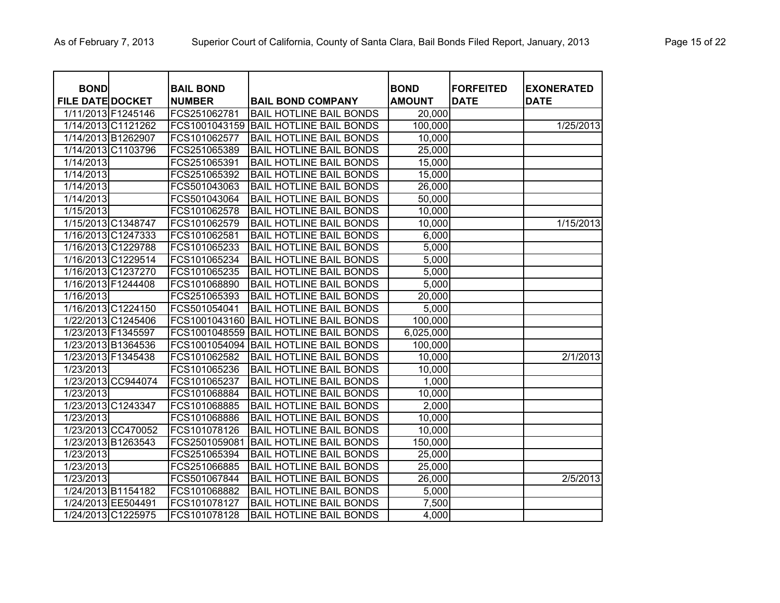| <b>BOND</b>             |                    | <b>BAIL BOND</b> |                                | <b>BOND</b>   | <b>FORFEITED</b> | <b>EXONERATED</b> |
|-------------------------|--------------------|------------------|--------------------------------|---------------|------------------|-------------------|
| <b>FILE DATE DOCKET</b> |                    | <b>NUMBER</b>    | <b>BAIL BOND COMPANY</b>       | <b>AMOUNT</b> | <b>DATE</b>      | <b>DATE</b>       |
| 1/11/2013 F1245146      |                    | FCS251062781     | <b>BAIL HOTLINE BAIL BONDS</b> | 20,000        |                  |                   |
| 1/14/2013 C1121262      |                    | FCS1001043159    | <b>BAIL HOTLINE BAIL BONDS</b> | 100,000       |                  | 1/25/2013         |
| 1/14/2013 B1262907      |                    | FCS101062577     | <b>BAIL HOTLINE BAIL BONDS</b> | 10,000        |                  |                   |
| 1/14/2013 C1103796      |                    | FCS251065389     | <b>BAIL HOTLINE BAIL BONDS</b> | 25,000        |                  |                   |
| 1/14/2013               |                    | FCS251065391     | <b>BAIL HOTLINE BAIL BONDS</b> | 15,000        |                  |                   |
| 1/14/2013               |                    | FCS251065392     | <b>BAIL HOTLINE BAIL BONDS</b> | 15,000        |                  |                   |
| 1/14/2013               |                    | FCS501043063     | <b>BAIL HOTLINE BAIL BONDS</b> | 26,000        |                  |                   |
| 1/14/2013               |                    | FCS501043064     | <b>BAIL HOTLINE BAIL BONDS</b> | 50,000        |                  |                   |
| 1/15/2013               |                    | FCS101062578     | <b>BAIL HOTLINE BAIL BONDS</b> | 10,000        |                  |                   |
| 1/15/2013 C1348747      |                    | FCS101062579     | <b>BAIL HOTLINE BAIL BONDS</b> | 10,000        |                  | 1/15/2013         |
| 1/16/2013 C1247333      |                    | FCS101062581     | <b>BAIL HOTLINE BAIL BONDS</b> | 6,000         |                  |                   |
| 1/16/2013 C1229788      |                    | FCS101065233     | <b>BAIL HOTLINE BAIL BONDS</b> | 5,000         |                  |                   |
| 1/16/2013 C1229514      |                    | FCS101065234     | <b>BAIL HOTLINE BAIL BONDS</b> | 5,000         |                  |                   |
| 1/16/2013 C1237270      |                    | FCS101065235     | <b>BAIL HOTLINE BAIL BONDS</b> | 5,000         |                  |                   |
| 1/16/2013 F1244408      |                    | FCS101068890     | <b>BAIL HOTLINE BAIL BONDS</b> | 5,000         |                  |                   |
| 1/16/2013               |                    | FCS251065393     | <b>BAIL HOTLINE BAIL BONDS</b> | 20,000        |                  |                   |
| 1/16/2013 C1224150      |                    | FCS501054041     | <b>BAIL HOTLINE BAIL BONDS</b> | 5,000         |                  |                   |
| 1/22/2013 C1245406      |                    | FCS1001043160    | <b>BAIL HOTLINE BAIL BONDS</b> | 100,000       |                  |                   |
| 1/23/2013 F1345597      |                    | FCS1001048559    | <b>BAIL HOTLINE BAIL BONDS</b> | 6,025,000     |                  |                   |
| 1/23/2013 B1364536      |                    | FCS1001054094    | <b>BAIL HOTLINE BAIL BONDS</b> | 100,000       |                  |                   |
| 1/23/2013 F1345438      |                    | FCS101062582     | <b>BAIL HOTLINE BAIL BONDS</b> | 10,000        |                  | 2/1/2013          |
| 1/23/2013               |                    | FCS101065236     | <b>BAIL HOTLINE BAIL BONDS</b> | 10,000        |                  |                   |
|                         | 1/23/2013 CC944074 | FCS101065237     | <b>BAIL HOTLINE BAIL BONDS</b> | 1,000         |                  |                   |
| 1/23/2013               |                    | FCS101068884     | <b>BAIL HOTLINE BAIL BONDS</b> | 10,000        |                  |                   |
| 1/23/2013 C1243347      |                    | FCS101068885     | <b>BAIL HOTLINE BAIL BONDS</b> | 2,000         |                  |                   |
| 1/23/2013               |                    | FCS101068886     | <b>BAIL HOTLINE BAIL BONDS</b> | 10,000        |                  |                   |
| 1/23/2013 CC470052      |                    | FCS101078126     | <b>BAIL HOTLINE BAIL BONDS</b> | 10,000        |                  |                   |
| 1/23/2013 B1263543      |                    | FCS2501059081    | <b>BAIL HOTLINE BAIL BONDS</b> | 150,000       |                  |                   |
| 1/23/2013               |                    | FCS251065394     | <b>BAIL HOTLINE BAIL BONDS</b> | 25,000        |                  |                   |
| 1/23/2013               |                    | FCS251066885     | <b>BAIL HOTLINE BAIL BONDS</b> | 25,000        |                  |                   |
| 1/23/2013               |                    | FCS501067844     | <b>BAIL HOTLINE BAIL BONDS</b> | 26,000        |                  | 2/5/2013          |
| 1/24/2013 B1154182      |                    | FCS101068882     | <b>BAIL HOTLINE BAIL BONDS</b> | 5,000         |                  |                   |
| 1/24/2013 EE504491      |                    | FCS101078127     | <b>BAIL HOTLINE BAIL BONDS</b> | 7,500         |                  |                   |
| 1/24/2013 C1225975      |                    | FCS101078128     | <b>BAIL HOTLINE BAIL BONDS</b> | 4,000         |                  |                   |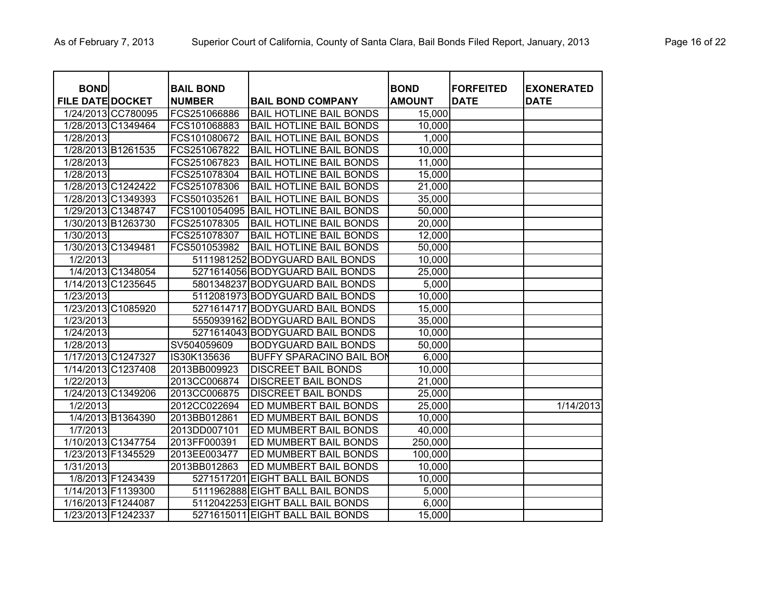| <b>BOND</b>             |                    | <b>BAIL BOND</b> |                                       | <b>BOND</b>   | <b>FORFEITED</b> | <b>EXONERATED</b> |
|-------------------------|--------------------|------------------|---------------------------------------|---------------|------------------|-------------------|
| <b>FILE DATE DOCKET</b> |                    | <b>NUMBER</b>    | <b>BAIL BOND COMPANY</b>              | <b>AMOUNT</b> | <b>DATE</b>      | <b>DATE</b>       |
|                         | 1/24/2013 CC780095 | FCS251066886     | <b>BAIL HOTLINE BAIL BONDS</b>        | 15,000        |                  |                   |
|                         | 1/28/2013 C1349464 | FCS101068883     | <b>BAIL HOTLINE BAIL BONDS</b>        | 10,000        |                  |                   |
| 1/28/2013               |                    | FCS101080672     | <b>BAIL HOTLINE BAIL BONDS</b>        | 1,000         |                  |                   |
| 1/28/2013 B1261535      |                    | FCS251067822     | <b>BAIL HOTLINE BAIL BONDS</b>        | 10,000        |                  |                   |
| 1/28/2013               |                    | FCS251067823     | <b>BAIL HOTLINE BAIL BONDS</b>        | 11,000        |                  |                   |
| 1/28/2013               |                    | FCS251078304     | <b>BAIL HOTLINE BAIL BONDS</b>        | 15,000        |                  |                   |
|                         | 1/28/2013 C1242422 | FCS251078306     | <b>BAIL HOTLINE BAIL BONDS</b>        | 21,000        |                  |                   |
| 1/28/2013 C1349393      |                    | FCS501035261     | <b>BAIL HOTLINE BAIL BONDS</b>        | 35,000        |                  |                   |
| 1/29/2013 C1348747      |                    |                  | FCS1001054095 BAIL HOTLINE BAIL BONDS | 50,000        |                  |                   |
| 1/30/2013 B1263730      |                    | FCS251078305     | <b>BAIL HOTLINE BAIL BONDS</b>        | 20,000        |                  |                   |
| 1/30/2013               |                    | FCS251078307     | <b>BAIL HOTLINE BAIL BONDS</b>        | 12,000        |                  |                   |
| 1/30/2013 C1349481      |                    | FCS501053982     | <b>BAIL HOTLINE BAIL BONDS</b>        | 50,000        |                  |                   |
| 1/2/2013                |                    |                  | 5111981252 BODYGUARD BAIL BONDS       | 10,000        |                  |                   |
|                         | 1/4/2013 C1348054  |                  | 5271614056 BODYGUARD BAIL BONDS       | 25,000        |                  |                   |
|                         | 1/14/2013 C1235645 |                  | 5801348237 BODYGUARD BAIL BONDS       | 5,000         |                  |                   |
| 1/23/2013               |                    |                  | 5112081973 BODYGUARD BAIL BONDS       | 10,000        |                  |                   |
| 1/23/2013 C1085920      |                    |                  | 5271614717 BODYGUARD BAIL BONDS       | 15,000        |                  |                   |
| 1/23/2013               |                    |                  | 5550939162 BODYGUARD BAIL BONDS       | 35,000        |                  |                   |
| 1/24/2013               |                    |                  | 5271614043 BODYGUARD BAIL BONDS       | 10,000        |                  |                   |
| 1/28/2013               |                    | SV504059609      | <b>BODYGUARD BAIL BONDS</b>           | 50,000        |                  |                   |
| 1/17/2013 C1247327      |                    | IS30K135636      | <b>BUFFY SPARACINO BAIL BON</b>       | 6,000         |                  |                   |
| 1/14/2013 C1237408      |                    | 2013BB009923     | <b>DISCREET BAIL BONDS</b>            | 10,000        |                  |                   |
| 1/22/2013               |                    | 2013CC006874     | <b>DISCREET BAIL BONDS</b>            | 21,000        |                  |                   |
| 1/24/2013 C1349206      |                    | 2013CC006875     | <b>DISCREET BAIL BONDS</b>            | 25,000        |                  |                   |
| 1/2/2013                |                    | 2012CC022694     | ED MUMBERT BAIL BONDS                 | 25,000        |                  | 1/14/2013         |
|                         | 1/4/2013 B1364390  | 2013BB012861     | ED MUMBERT BAIL BONDS                 | 10,000        |                  |                   |
| 1/7/2013                |                    | 2013DD007101     | ED MUMBERT BAIL BONDS                 | 40,000        |                  |                   |
|                         | 1/10/2013 C1347754 | 2013FF000391     | ED MUMBERT BAIL BONDS                 | 250,000       |                  |                   |
| 1/23/2013 F1345529      |                    | 2013EE003477     | ED MUMBERT BAIL BONDS                 | 100,000       |                  |                   |
| 1/31/2013               |                    | 2013BB012863     | ED MUMBERT BAIL BONDS                 | 10,000        |                  |                   |
|                         | 1/8/2013 F1243439  |                  | 5271517201 EIGHT BALL BAIL BONDS      | 10,000        |                  |                   |
|                         | 1/14/2013 F1139300 |                  | 5111962888 EIGHT BALL BAIL BONDS      | 5,000         |                  |                   |
| 1/16/2013 F1244087      |                    |                  | 5112042253 EIGHT BALL BAIL BONDS      | 6,000         |                  |                   |
| 1/23/2013 F1242337      |                    |                  | 5271615011 EIGHT BALL BAIL BONDS      | 15,000        |                  |                   |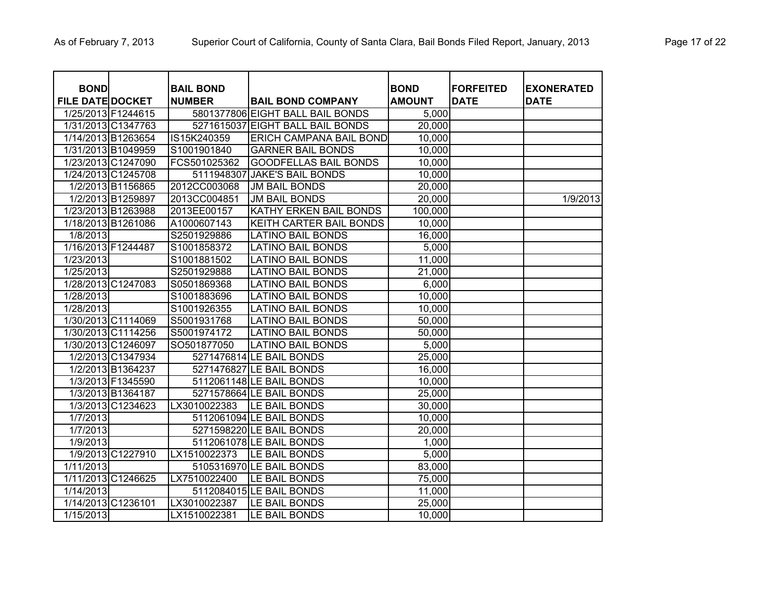| <b>BOND</b>             |                    |                                   |                                  | <b>BOND</b>   | <b>FORFEITED</b> |                                  |
|-------------------------|--------------------|-----------------------------------|----------------------------------|---------------|------------------|----------------------------------|
| <b>FILE DATE DOCKET</b> |                    | <b>BAIL BOND</b><br><b>NUMBER</b> | <b>BAIL BOND COMPANY</b>         | <b>AMOUNT</b> | <b>DATE</b>      | <b>EXONERATED</b><br><b>DATE</b> |
|                         | 1/25/2013 F1244615 |                                   | 5801377806 EIGHT BALL BAIL BONDS | 5,000         |                  |                                  |
|                         | 1/31/2013 C1347763 |                                   | 5271615037 EIGHT BALL BAIL BONDS | 20,000        |                  |                                  |
|                         | 1/14/2013 B1263654 | IS15K240359                       | <b>ERICH CAMPANA BAIL BOND</b>   | 10,000        |                  |                                  |
|                         | 1/31/2013 B1049959 | S1001901840                       | <b>GARNER BAIL BONDS</b>         | 10,000        |                  |                                  |
|                         | 1/23/2013 C1247090 | FCS501025362                      | <b>GOODFELLAS BAIL BONDS</b>     | 10,000        |                  |                                  |
|                         | 1/24/2013 C1245708 | 5111948307                        | <b>JAKE'S BAIL BONDS</b>         | 10,000        |                  |                                  |
|                         | 1/2/2013 B1156865  | 2012CC003068                      | <b>JM BAIL BONDS</b>             | 20,000        |                  |                                  |
|                         | 1/2/2013 B1259897  | 2013CC004851                      | <b>JM BAIL BONDS</b>             | 20,000        |                  | 1/9/2013                         |
|                         | 1/23/2013 B1263988 | 2013EE00157                       | KATHY ERKEN BAIL BONDS           | 100,000       |                  |                                  |
|                         | 1/18/2013 B1261086 | A1000607143                       | KEITH CARTER BAIL BONDS          | 10,000        |                  |                                  |
| 1/8/2013                |                    | S2501929886                       | <b>LATINO BAIL BONDS</b>         | 16,000        |                  |                                  |
| 1/16/2013 F1244487      |                    | S1001858372                       | <b>LATINO BAIL BONDS</b>         | 5,000         |                  |                                  |
| 1/23/2013               |                    | S1001881502                       | <b>LATINO BAIL BONDS</b>         | 11,000        |                  |                                  |
| 1/25/2013               |                    | S2501929888                       | <b>LATINO BAIL BONDS</b>         | 21,000        |                  |                                  |
|                         | 1/28/2013 C1247083 | S0501869368                       | <b>LATINO BAIL BONDS</b>         | 6,000         |                  |                                  |
| 1/28/2013               |                    | S1001883696                       | <b>LATINO BAIL BONDS</b>         | 10,000        |                  |                                  |
| 1/28/2013               |                    | S1001926355                       | <b>LATINO BAIL BONDS</b>         | 10,000        |                  |                                  |
|                         | 1/30/2013 C1114069 | S5001931768                       | <b>LATINO BAIL BONDS</b>         | 50,000        |                  |                                  |
|                         | 1/30/2013 C1114256 | S5001974172                       | <b>LATINO BAIL BONDS</b>         | 50,000        |                  |                                  |
|                         | 1/30/2013 C1246097 | SO501877050                       | <b>LATINO BAIL BONDS</b>         | 5,000         |                  |                                  |
|                         | 1/2/2013 C1347934  |                                   | 5271476814 LE BAIL BONDS         | 25,000        |                  |                                  |
|                         | 1/2/2013 B1364237  |                                   | 5271476827 LE BAIL BONDS         | 16,000        |                  |                                  |
|                         | 1/3/2013 F1345590  |                                   | 5112061148 LE BAIL BONDS         | 10,000        |                  |                                  |
|                         | 1/3/2013 B1364187  |                                   | 5271578664 LE BAIL BONDS         | 25,000        |                  |                                  |
|                         | 1/3/2013 C1234623  | LX3010022383                      | LE BAIL BONDS                    | 30,000        |                  |                                  |
| 1/7/2013                |                    |                                   | 5112061094 LE BAIL BONDS         | 10,000        |                  |                                  |
| 1/7/2013                |                    |                                   | 5271598220 LE BAIL BONDS         | 20,000        |                  |                                  |
| 1/9/2013                |                    |                                   | 5112061078 LE BAIL BONDS         | 1,000         |                  |                                  |
|                         | 1/9/2013 C1227910  | LX1510022373                      | LE BAIL BONDS                    | 5,000         |                  |                                  |
| 1/11/2013               |                    |                                   | 5105316970 LE BAIL BONDS         | 83,000        |                  |                                  |
|                         | 1/11/2013 C1246625 | LX7510022400                      | LE BAIL BONDS                    | 75,000        |                  |                                  |
| 1/14/2013               |                    |                                   | 5112084015 LE BAIL BONDS         | 11,000        |                  |                                  |
| 1/14/2013 C1236101      |                    | LX3010022387                      | LE BAIL BONDS                    | 25,000        |                  |                                  |
| 1/15/2013               |                    | LX1510022381                      | LE BAIL BONDS                    | 10,000        |                  |                                  |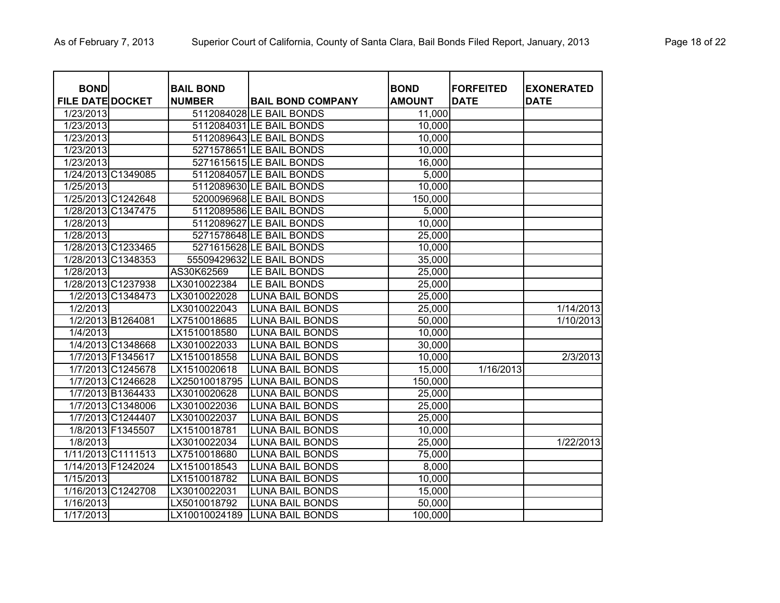| <b>BOND</b><br><b>FILE DATE DOCKET</b> |                    | <b>BAIL BOND</b><br><b>NUMBER</b> |                                                      | <b>BOND</b><br><b>AMOUNT</b> | <b>FORFEITED</b><br><b>DATE</b> | <b>EXONERATED</b><br><b>DATE</b> |
|----------------------------------------|--------------------|-----------------------------------|------------------------------------------------------|------------------------------|---------------------------------|----------------------------------|
|                                        |                    |                                   | <b>BAIL BOND COMPANY</b><br>5112084028 LE BAIL BONDS |                              |                                 |                                  |
| 1/23/2013                              |                    |                                   | 5112084031 LE BAIL BONDS                             | 11,000                       |                                 |                                  |
| 1/23/2013                              |                    |                                   |                                                      | 10,000                       |                                 |                                  |
| 1/23/2013                              |                    |                                   | 5112089643 LE BAIL BONDS                             | 10,000                       |                                 |                                  |
| 1/23/2013                              |                    |                                   | 5271578651 LE BAIL BONDS                             | 10,000                       |                                 |                                  |
| 1/23/2013                              |                    |                                   | 5271615615 LE BAIL BONDS                             | 16,000                       |                                 |                                  |
|                                        | 1/24/2013 C1349085 |                                   | 5112084057 LE BAIL BONDS                             | 5,000                        |                                 |                                  |
| 1/25/2013                              |                    |                                   | 5112089630 LE BAIL BONDS                             | 10,000                       |                                 |                                  |
|                                        | 1/25/2013 C1242648 |                                   | 5200096968 LE BAIL BONDS                             | 150,000                      |                                 |                                  |
|                                        | 1/28/2013 C1347475 |                                   | 5112089586 LE BAIL BONDS                             | 5,000                        |                                 |                                  |
| 1/28/2013                              |                    |                                   | 5112089627 LE BAIL BONDS                             | 10,000                       |                                 |                                  |
| 1/28/2013                              |                    |                                   | 5271578648 LE BAIL BONDS                             | 25,000                       |                                 |                                  |
|                                        | 1/28/2013 C1233465 |                                   | 5271615628 LE BAIL BONDS                             | 10,000                       |                                 |                                  |
|                                        | 1/28/2013 C1348353 |                                   | 55509429632 LE BAIL BONDS                            | 35,000                       |                                 |                                  |
| 1/28/2013                              |                    | AS30K62569                        | LE BAIL BONDS                                        | 25,000                       |                                 |                                  |
|                                        | 1/28/2013 C1237938 | LX3010022384                      | LE BAIL BONDS                                        | 25,000                       |                                 |                                  |
|                                        | 1/2/2013 C1348473  | LX3010022028                      | <b>LUNA BAIL BONDS</b>                               | 25,000                       |                                 |                                  |
| 1/2/2013                               |                    | LX3010022043                      | <b>LUNA BAIL BONDS</b>                               | 25,000                       |                                 | 1/14/2013                        |
|                                        | 1/2/2013 B1264081  | LX7510018685                      | <b>LUNA BAIL BONDS</b>                               | 50,000                       |                                 | 1/10/2013                        |
| 1/4/2013                               |                    | LX1510018580                      | <b>LUNA BAIL BONDS</b>                               | 10,000                       |                                 |                                  |
|                                        | 1/4/2013 C1348668  | LX3010022033                      | <b>LUNA BAIL BONDS</b>                               | 30,000                       |                                 |                                  |
|                                        | 1/7/2013 F1345617  | LX1510018558                      | <b>LUNA BAIL BONDS</b>                               | 10,000                       |                                 | 2/3/2013                         |
|                                        | 1/7/2013 C1245678  | LX1510020618                      | <b>LUNA BAIL BONDS</b>                               | 15,000                       | 1/16/2013                       |                                  |
|                                        | 1/7/2013 C1246628  | LX25010018795                     | <b>LUNA BAIL BONDS</b>                               | 150,000                      |                                 |                                  |
|                                        | 1/7/2013 B1364433  | LX3010020628                      | <b>LUNA BAIL BONDS</b>                               | 25,000                       |                                 |                                  |
|                                        | 1/7/2013 C1348006  | LX3010022036                      | <b>LUNA BAIL BONDS</b>                               | 25,000                       |                                 |                                  |
|                                        | 1/7/2013 C1244407  | LX3010022037                      | <b>LUNA BAIL BONDS</b>                               | 25,000                       |                                 |                                  |
|                                        | 1/8/2013 F1345507  | LX1510018781                      | <b>LUNA BAIL BONDS</b>                               | 10,000                       |                                 |                                  |
| 1/8/2013                               |                    | LX3010022034                      | <b>LUNA BAIL BONDS</b>                               | 25,000                       |                                 | 1/22/2013                        |
|                                        | 1/11/2013 C1111513 | LX7510018680                      | <b>LUNA BAIL BONDS</b>                               | 75,000                       |                                 |                                  |
|                                        | 1/14/2013 F1242024 | LX1510018543                      | <b>LUNA BAIL BONDS</b>                               | 8,000                        |                                 |                                  |
| 1/15/2013                              |                    | LX1510018782                      | <b>LUNA BAIL BONDS</b>                               | 10,000                       |                                 |                                  |
|                                        | 1/16/2013 C1242708 | LX3010022031                      | <b>LUNA BAIL BONDS</b>                               | 15,000                       |                                 |                                  |
| 1/16/2013                              |                    | LX5010018792                      | <b>LUNA BAIL BONDS</b>                               | 50,000                       |                                 |                                  |
| 1/17/2013                              |                    | LX10010024189                     | <b>LUNA BAIL BONDS</b>                               | 100,000                      |                                 |                                  |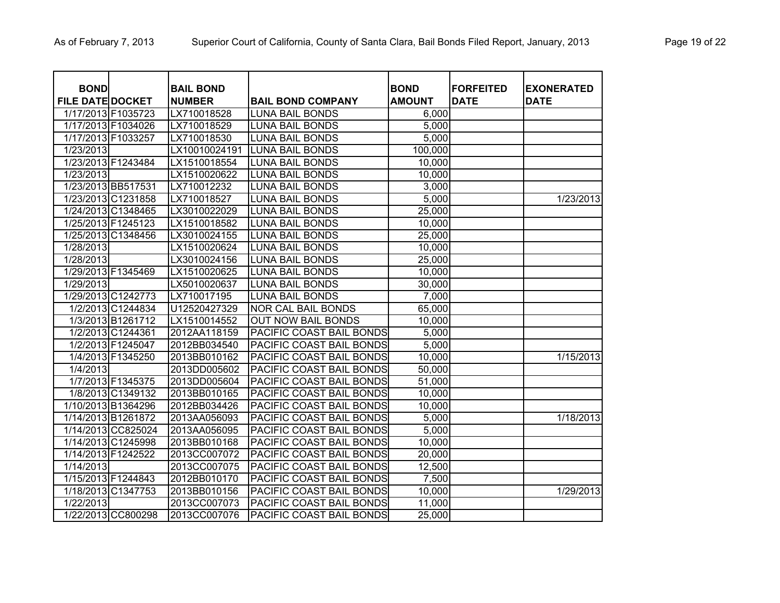| <b>BOND</b><br><b>FILE DATE DOCKET</b> |                    | <b>BAIL BOND</b><br><b>NUMBER</b> | <b>BAIL BOND COMPANY</b>  | <b>BOND</b><br><b>AMOUNT</b> | <b>FORFEITED</b><br><b>DATE</b> | <b>EXONERATED</b><br><b>DATE</b> |
|----------------------------------------|--------------------|-----------------------------------|---------------------------|------------------------------|---------------------------------|----------------------------------|
|                                        | 1/17/2013 F1035723 | LX710018528                       | <b>LUNA BAIL BONDS</b>    | 6,000                        |                                 |                                  |
| 1/17/2013 F1034026                     |                    | LX710018529                       | <b>LUNA BAIL BONDS</b>    | 5,000                        |                                 |                                  |
| 1/17/2013 F1033257                     |                    | LX710018530                       | <b>LUNA BAIL BONDS</b>    | 5,000                        |                                 |                                  |
| 1/23/2013                              |                    | LX10010024191                     | <b>LUNA BAIL BONDS</b>    | 100,000                      |                                 |                                  |
|                                        | 1/23/2013 F1243484 | LX1510018554                      | <b>LUNA BAIL BONDS</b>    | 10,000                       |                                 |                                  |
| 1/23/2013                              |                    | LX1510020622                      | <b>LUNA BAIL BONDS</b>    | 10,000                       |                                 |                                  |
|                                        | 1/23/2013 BB517531 | LX710012232                       | <b>LUNA BAIL BONDS</b>    | 3,000                        |                                 |                                  |
|                                        | 1/23/2013 C1231858 | LX710018527                       | <b>LUNA BAIL BONDS</b>    | 5,000                        |                                 | 1/23/2013                        |
|                                        | 1/24/2013 C1348465 | LX3010022029                      | <b>LUNA BAIL BONDS</b>    | 25,000                       |                                 |                                  |
|                                        | 1/25/2013 F1245123 | LX1510018582                      | <b>LUNA BAIL BONDS</b>    | 10,000                       |                                 |                                  |
|                                        | 1/25/2013 C1348456 | LX3010024155                      | <b>LUNA BAIL BONDS</b>    | 25,000                       |                                 |                                  |
| 1/28/2013                              |                    | LX1510020624                      | <b>LUNA BAIL BONDS</b>    | 10,000                       |                                 |                                  |
| 1/28/2013                              |                    | LX3010024156                      | <b>LUNA BAIL BONDS</b>    | 25,000                       |                                 |                                  |
|                                        | 1/29/2013 F1345469 | LX1510020625                      | <b>LUNA BAIL BONDS</b>    | 10,000                       |                                 |                                  |
| 1/29/2013                              |                    | LX5010020637                      | <b>LUNA BAIL BONDS</b>    | 30,000                       |                                 |                                  |
|                                        | 1/29/2013 C1242773 | LX710017195                       | <b>LUNA BAIL BONDS</b>    | 7,000                        |                                 |                                  |
|                                        | 1/2/2013 C1244834  | U12520427329                      | NOR CAL BAIL BONDS        | 65,000                       |                                 |                                  |
|                                        | 1/3/2013 B1261712  | LX1510014552                      | <b>OUT NOW BAIL BONDS</b> | 10,000                       |                                 |                                  |
|                                        | 1/2/2013 C1244361  | 2012AA118159                      | PACIFIC COAST BAIL BONDS  | 5,000                        |                                 |                                  |
|                                        | 1/2/2013 F1245047  | 2012BB034540                      | PACIFIC COAST BAIL BONDS  | 5,000                        |                                 |                                  |
|                                        | 1/4/2013 F1345250  | 2013BB010162                      | PACIFIC COAST BAIL BONDS  | 10,000                       |                                 | 1/15/2013                        |
| 1/4/2013                               |                    | 2013DD005602                      | PACIFIC COAST BAIL BONDS  | 50,000                       |                                 |                                  |
|                                        | 1/7/2013 F1345375  | 2013DD005604                      | PACIFIC COAST BAIL BONDS  | 51,000                       |                                 |                                  |
|                                        | 1/8/2013 C1349132  | 2013BB010165                      | PACIFIC COAST BAIL BONDS  | 10,000                       |                                 |                                  |
|                                        | 1/10/2013 B1364296 | 2012BB034426                      | PACIFIC COAST BAIL BONDS  | 10,000                       |                                 |                                  |
|                                        | 1/14/2013 B1261872 | 2013AA056093                      | PACIFIC COAST BAIL BONDS  | 5,000                        |                                 | 1/18/2013                        |
|                                        | 1/14/2013 CC825024 | 2013AA056095                      | PACIFIC COAST BAIL BONDS  | 5,000                        |                                 |                                  |
|                                        | 1/14/2013 C1245998 | 2013BB010168                      | PACIFIC COAST BAIL BONDS  | 10,000                       |                                 |                                  |
| 1/14/2013 F1242522                     |                    | 2013CC007072                      | PACIFIC COAST BAIL BONDS  | 20,000                       |                                 |                                  |
| 1/14/2013                              |                    | 2013CC007075                      | PACIFIC COAST BAIL BONDS  | 12,500                       |                                 |                                  |
| 1/15/2013 F1244843                     |                    | 2012BB010170                      | PACIFIC COAST BAIL BONDS  | 7,500                        |                                 |                                  |
|                                        | 1/18/2013 C1347753 | 2013BB010156                      | PACIFIC COAST BAIL BONDS  | 10,000                       |                                 | 1/29/2013                        |
| 1/22/2013                              |                    | 2013CC007073                      | PACIFIC COAST BAIL BONDS  | 11,000                       |                                 |                                  |
|                                        | 1/22/2013 CC800298 | 2013CC007076                      | PACIFIC COAST BAIL BONDS  | 25,000                       |                                 |                                  |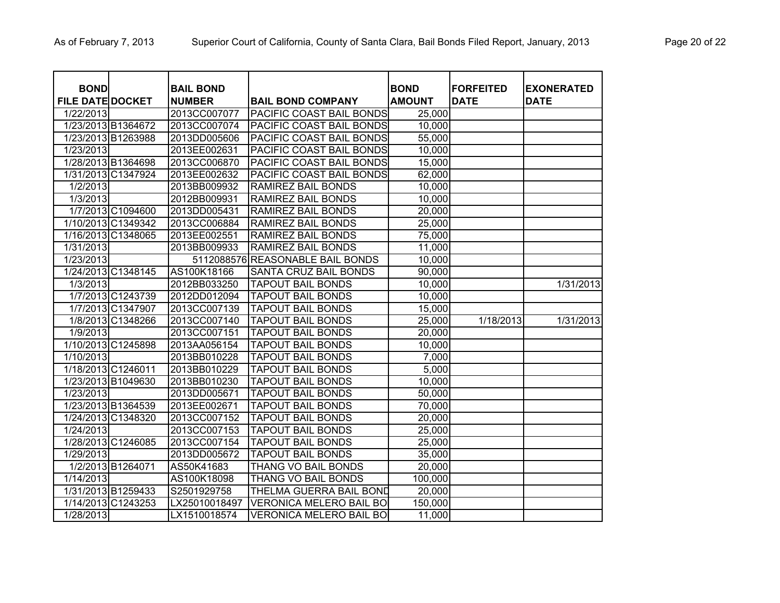| <b>BOND</b>             |                    | <b>BAIL BOND</b> |                                  | <b>BOND</b>   | <b>FORFEITED</b> | <b>EXONERATED</b> |
|-------------------------|--------------------|------------------|----------------------------------|---------------|------------------|-------------------|
| <b>FILE DATE DOCKET</b> |                    | <b>NUMBER</b>    | <b>BAIL BOND COMPANY</b>         | <b>AMOUNT</b> | <b>DATE</b>      | <b>DATE</b>       |
| 1/22/2013               |                    | 2013CC007077     | PACIFIC COAST BAIL BONDS         | 25,000        |                  |                   |
|                         | 1/23/2013 B1364672 | 2013CC007074     | PACIFIC COAST BAIL BONDS         | 10,000        |                  |                   |
|                         | 1/23/2013 B1263988 | 2013DD005606     | PACIFIC COAST BAIL BONDS         | 55,000        |                  |                   |
| 1/23/2013               |                    | 2013EE002631     | PACIFIC COAST BAIL BONDS         | 10,000        |                  |                   |
|                         | 1/28/2013 B1364698 | 2013CC006870     | PACIFIC COAST BAIL BONDS         | 15,000        |                  |                   |
|                         | 1/31/2013 C1347924 | 2013EE002632     | PACIFIC COAST BAIL BONDS         | 62,000        |                  |                   |
| $\sqrt{1/2/2013}$       |                    | 2013BB009932     | <b>RAMIREZ BAIL BONDS</b>        | 10,000        |                  |                   |
| 1/3/2013                |                    | 2012BB009931     | <b>RAMIREZ BAIL BONDS</b>        | 10,000        |                  |                   |
|                         | 1/7/2013 C1094600  | 2013DD005431     | <b>RAMIREZ BAIL BONDS</b>        | 20,000        |                  |                   |
|                         | 1/10/2013 C1349342 | 2013CC006884     | <b>RAMIREZ BAIL BONDS</b>        | 25,000        |                  |                   |
|                         | 1/16/2013 C1348065 | 2013EE002551     | <b>RAMIREZ BAIL BONDS</b>        | 75,000        |                  |                   |
| 1/31/2013               |                    | 2013BB009933     | <b>RAMIREZ BAIL BONDS</b>        | 11,000        |                  |                   |
| 1/23/2013               |                    |                  | 5112088576 REASONABLE BAIL BONDS | 10,000        |                  |                   |
|                         | 1/24/2013 C1348145 | AS100K18166      | SANTA CRUZ BAIL BONDS            | 90,000        |                  |                   |
| 1/3/2013                |                    | 2012BB033250     | <b>TAPOUT BAIL BONDS</b>         | 10,000        |                  | 1/31/2013         |
|                         | 1/7/2013 C1243739  | 2012DD012094     | <b>TAPOUT BAIL BONDS</b>         | 10,000        |                  |                   |
|                         | 1/7/2013 C1347907  | 2013CC007139     | <b>TAPOUT BAIL BONDS</b>         | 15,000        |                  |                   |
|                         | 1/8/2013 C1348266  | 2013CC007140     | <b>TAPOUT BAIL BONDS</b>         | 25,000        | 1/18/2013        | 1/31/2013         |
| 1/9/2013                |                    | 2013CC007151     | <b>TAPOUT BAIL BONDS</b>         | 20,000        |                  |                   |
|                         | 1/10/2013 C1245898 | 2013AA056154     | <b>TAPOUT BAIL BONDS</b>         | 10,000        |                  |                   |
| 1/10/2013               |                    | 2013BB010228     | <b>TAPOUT BAIL BONDS</b>         | 7,000         |                  |                   |
|                         | 1/18/2013 C1246011 | 2013BB010229     | <b>TAPOUT BAIL BONDS</b>         | 5,000         |                  |                   |
|                         | 1/23/2013 B1049630 | 2013BB010230     | <b>TAPOUT BAIL BONDS</b>         | 10,000        |                  |                   |
| 1/23/2013               |                    | 2013DD005671     | <b>TAPOUT BAIL BONDS</b>         | 50,000        |                  |                   |
|                         | 1/23/2013 B1364539 | 2013EE002671     | <b>TAPOUT BAIL BONDS</b>         | 70,000        |                  |                   |
|                         | 1/24/2013 C1348320 | 2013CC007152     | <b>TAPOUT BAIL BONDS</b>         | 20,000        |                  |                   |
| 1/24/2013               |                    | 2013CC007153     | <b>TAPOUT BAIL BONDS</b>         | 25,000        |                  |                   |
|                         | 1/28/2013 C1246085 | 2013CC007154     | <b>TAPOUT BAIL BONDS</b>         | 25,000        |                  |                   |
| 1/29/2013               |                    | 2013DD005672     | <b>TAPOUT BAIL BONDS</b>         | 35,000        |                  |                   |
|                         | 1/2/2013 B1264071  | AS50K41683       | THANG VO BAIL BONDS              | 20,000        |                  |                   |
| 1/14/2013               |                    | AS100K18098      | THANG VO BAIL BONDS              | 100,000       |                  |                   |
|                         | 1/31/2013 B1259433 | S2501929758      | THELMA GUERRA BAIL BOND          | 20,000        |                  |                   |
|                         | 1/14/2013 C1243253 | LX25010018497    | <b>VERONICA MELERO BAIL BO</b>   | 150,000       |                  |                   |
| 1/28/2013               |                    | LX1510018574     | <b>VERONICA MELERO BAIL BO</b>   | 11,000        |                  |                   |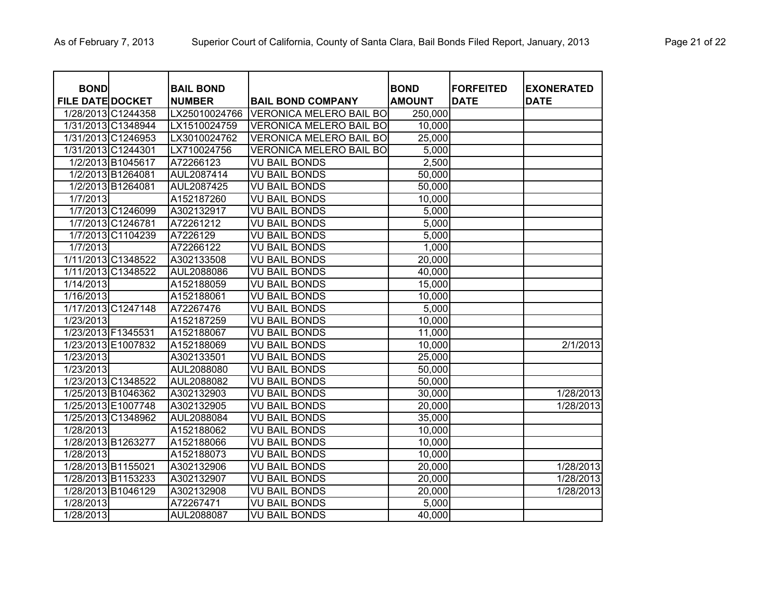| <b>BOND</b>             |                    | <b>BAIL BOND</b> |                                | <b>BOND</b>   | <b>FORFEITED</b> | <b>EXONERATED</b> |
|-------------------------|--------------------|------------------|--------------------------------|---------------|------------------|-------------------|
| <b>FILE DATE DOCKET</b> |                    | <b>NUMBER</b>    | <b>BAIL BOND COMPANY</b>       | <b>AMOUNT</b> | <b>DATE</b>      | <b>DATE</b>       |
|                         | 1/28/2013 C1244358 | LX25010024766    | <b>VERONICA MELERO BAIL BO</b> | 250,000       |                  |                   |
|                         | 1/31/2013 C1348944 | LX1510024759     | <b>VERONICA MELERO BAIL BO</b> | 10,000        |                  |                   |
|                         | 1/31/2013 C1246953 | LX3010024762     | <b>VERONICA MELERO BAIL BO</b> | 25,000        |                  |                   |
|                         | 1/31/2013 C1244301 | LX710024756      | <b>VERONICA MELERO BAIL BO</b> | 5,000         |                  |                   |
|                         | 1/2/2013 B1045617  | A72266123        | <b>VU BAIL BONDS</b>           | 2,500         |                  |                   |
|                         | 1/2/2013 B1264081  | AUL2087414       | <b>VU BAIL BONDS</b>           | 50,000        |                  |                   |
|                         | 1/2/2013 B1264081  | AUL2087425       | <b>VU BAIL BONDS</b>           | 50,000        |                  |                   |
| 1/7/2013                |                    | A152187260       | <b>VU BAIL BONDS</b>           | 10,000        |                  |                   |
|                         | 1/7/2013 C1246099  | A302132917       | <b>VU BAIL BONDS</b>           | 5,000         |                  |                   |
|                         | 1/7/2013 C1246781  | A72261212        | <b>VU BAIL BONDS</b>           | 5,000         |                  |                   |
|                         | 1/7/2013 C1104239  | A7226129         | <b>VU BAIL BONDS</b>           | 5,000         |                  |                   |
| 1/7/2013                |                    | A72266122        | <b>VU BAIL BONDS</b>           | 1,000         |                  |                   |
|                         | 1/11/2013 C1348522 | A302133508       | <b>VU BAIL BONDS</b>           | 20,000        |                  |                   |
|                         | 1/11/2013 C1348522 | AUL2088086       | <b>VU BAIL BONDS</b>           | 40,000        |                  |                   |
| 1/14/2013               |                    | A152188059       | <b>VU BAIL BONDS</b>           | 15,000        |                  |                   |
| 1/16/2013               |                    | A152188061       | <b>VU BAIL BONDS</b>           | 10,000        |                  |                   |
|                         | 1/17/2013 C1247148 | A72267476        | <b>VU BAIL BONDS</b>           | 5,000         |                  |                   |
| 1/23/2013               |                    | A152187259       | <b>VU BAIL BONDS</b>           | 10,000        |                  |                   |
| 1/23/2013 F1345531      |                    | A152188067       | <b>VU BAIL BONDS</b>           | 11,000        |                  |                   |
|                         | 1/23/2013 E1007832 | A152188069       | <b>VU BAIL BONDS</b>           | 10,000        |                  | 2/1/2013          |
| 1/23/2013               |                    | A302133501       | <b>VU BAIL BONDS</b>           | 25,000        |                  |                   |
| 1/23/2013               |                    | AUL2088080       | <b>VU BAIL BONDS</b>           | 50,000        |                  |                   |
|                         | 1/23/2013 C1348522 | AUL2088082       | <b>VU BAIL BONDS</b>           | 50,000        |                  |                   |
|                         | 1/25/2013 B1046362 | A302132903       | <b>VU BAIL BONDS</b>           | 30,000        |                  | 1/28/2013         |
|                         | 1/25/2013 E1007748 | A302132905       | <b>VU BAIL BONDS</b>           | 20,000        |                  | 1/28/2013         |
|                         | 1/25/2013 C1348962 | AUL2088084       | <b>VU BAIL BONDS</b>           | 35,000        |                  |                   |
| 1/28/2013               |                    | A152188062       | <b>VU BAIL BONDS</b>           | 10,000        |                  |                   |
|                         | 1/28/2013 B1263277 | A152188066       | <b>VU BAIL BONDS</b>           | 10,000        |                  |                   |
| 1/28/2013               |                    | A152188073       | <b>VU BAIL BONDS</b>           | 10,000        |                  |                   |
| 1/28/2013 B1155021      |                    | A302132906       | <b>VU BAIL BONDS</b>           | 20,000        |                  | 1/28/2013         |
|                         | 1/28/2013 B1153233 | A302132907       | <b>VU BAIL BONDS</b>           | 20,000        |                  | 1/28/2013         |
|                         | 1/28/2013 B1046129 | A302132908       | <b>VU BAIL BONDS</b>           | 20,000        |                  | 1/28/2013         |
| 1/28/2013               |                    | A72267471        | <b>VU BAIL BONDS</b>           | 5,000         |                  |                   |
| 1/28/2013               |                    | AUL2088087       | <b>VU BAIL BONDS</b>           | 40,000        |                  |                   |